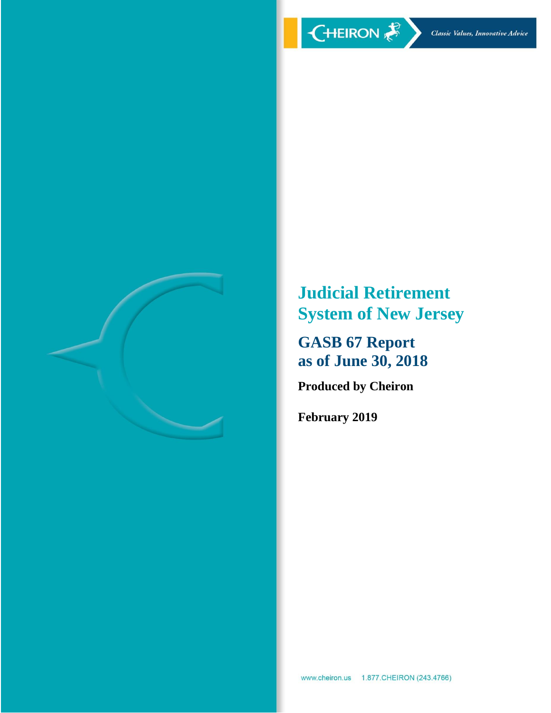

**Judicial Retirement System of New Jersey**

**GASB 67 Report as of June 30, 2018**

**Produced by Cheiron**

**February 2019**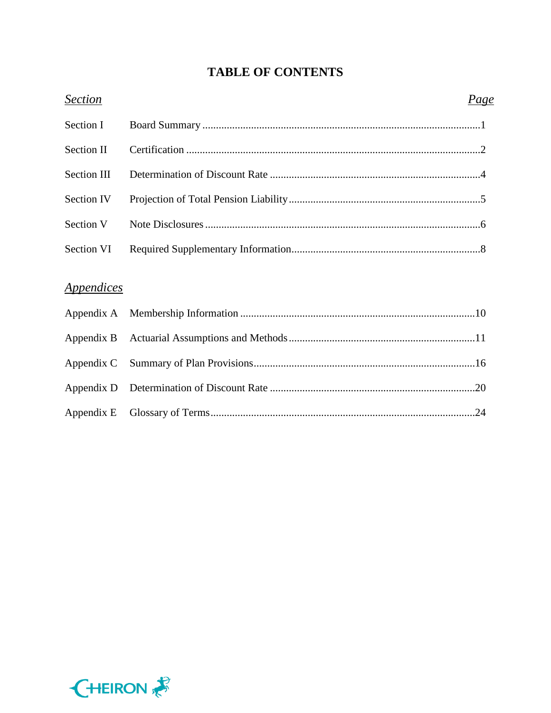# **TABLE OF CONTENTS**

| <b>Section</b>                  | Page |
|---------------------------------|------|
| Section I                       |      |
| <b>Section II</b>               |      |
| Section III                     |      |
| Section IV                      |      |
| Section V                       |      |
| Section VI                      |      |
|                                 |      |
| <i><u><b>Appendices</b></u></i> |      |
| Appendix A                      |      |
| Appendix B                      |      |
| Appendix C                      |      |
| Appendix D                      |      |
| Appendix E                      |      |

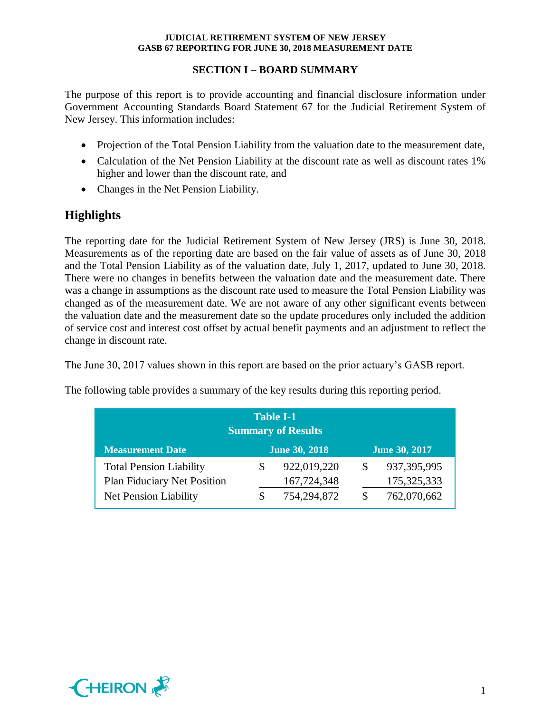## **SECTION I – BOARD SUMMARY**

The purpose of this report is to provide accounting and financial disclosure information under Government Accounting Standards Board Statement 67 for the Judicial Retirement System of New Jersey. This information includes:

- Projection of the Total Pension Liability from the valuation date to the measurement date,
- Calculation of the Net Pension Liability at the discount rate as well as discount rates 1% higher and lower than the discount rate, and
- Changes in the Net Pension Liability.

# **Highlights**

The reporting date for the Judicial Retirement System of New Jersey (JRS) is June 30, 2018. Measurements as of the reporting date are based on the fair value of assets as of June 30, 2018 and the Total Pension Liability as of the valuation date, July 1, 2017, updated to June 30, 2018. There were no changes in benefits between the valuation date and the measurement date. There was a change in assumptions as the discount rate used to measure the Total Pension Liability was changed as of the measurement date. We are not aware of any other significant events between the valuation date and the measurement date so the update procedures only included the addition of service cost and interest cost offset by actual benefit payments and an adjustment to reflect the change in discount rate.

The June 30, 2017 values shown in this report are based on the prior actuary's GASB report.

|                      | re following table provides a summary of the key results during this reporting period. |
|----------------------|----------------------------------------------------------------------------------------|
| <b>Table I-1</b>     |                                                                                        |
|                      |                                                                                        |
| <b>June 30, 2018</b> | <b>June 30, 2017</b>                                                                   |
|                      | <b>Summary of Results</b>                                                              |

The following table provides a summary of the key results during this reporting period.



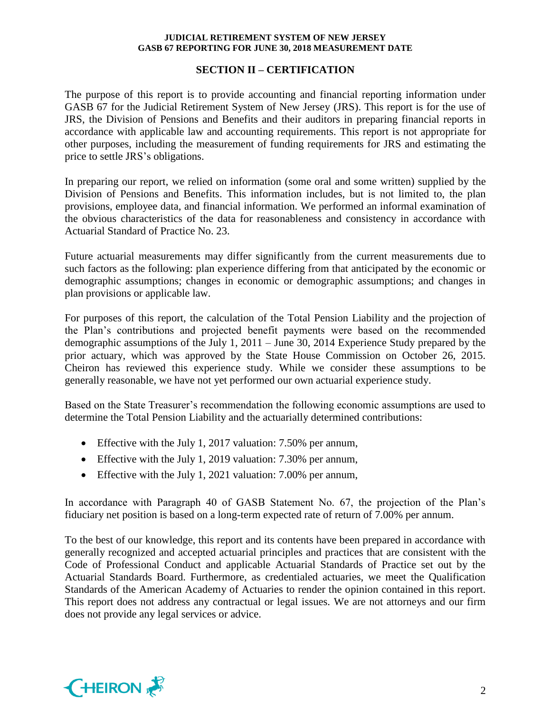## **SECTION II – CERTIFICATION**

The purpose of this report is to provide accounting and financial reporting information under GASB 67 for the Judicial Retirement System of New Jersey (JRS). This report is for the use of JRS, the Division of Pensions and Benefits and their auditors in preparing financial reports in accordance with applicable law and accounting requirements. This report is not appropriate for other purposes, including the measurement of funding requirements for JRS and estimating the price to settle JRS's obligations.

In preparing our report, we relied on information (some oral and some written) supplied by the Division of Pensions and Benefits. This information includes, but is not limited to, the plan provisions, employee data, and financial information. We performed an informal examination of the obvious characteristics of the data for reasonableness and consistency in accordance with Actuarial Standard of Practice No. 23.

Future actuarial measurements may differ significantly from the current measurements due to such factors as the following: plan experience differing from that anticipated by the economic or demographic assumptions; changes in economic or demographic assumptions; and changes in plan provisions or applicable law.

For purposes of this report, the calculation of the Total Pension Liability and the projection of the Plan's contributions and projected benefit payments were based on the recommended demographic assumptions of the July 1, 2011 – June 30, 2014 Experience Study prepared by the prior actuary, which was approved by the State House Commission on October 26, 2015. Cheiron has reviewed this experience study. While we consider these assumptions to be generally reasonable, we have not yet performed our own actuarial experience study.

Based on the State Treasurer's recommendation the following economic assumptions are used to determine the Total Pension Liability and the actuarially determined contributions:

- Effective with the July 1, 2017 valuation: 7.50% per annum,
- Effective with the July 1, 2019 valuation: 7.30% per annum,
- Effective with the July 1, 2021 valuation: 7.00% per annum,

In accordance with Paragraph 40 of GASB Statement No. 67, the projection of the Plan's fiduciary net position is based on a long-term expected rate of return of 7.00% per annum.

To the best of our knowledge, this report and its contents have been prepared in accordance with generally recognized and accepted actuarial principles and practices that are consistent with the Code of Professional Conduct and applicable Actuarial Standards of Practice set out by the Actuarial Standards Board. Furthermore, as credentialed actuaries, we meet the Qualification Standards of the American Academy of Actuaries to render the opinion contained in this report. This report does not address any contractual or legal issues. We are not attorneys and our firm does not provide any legal services or advice.

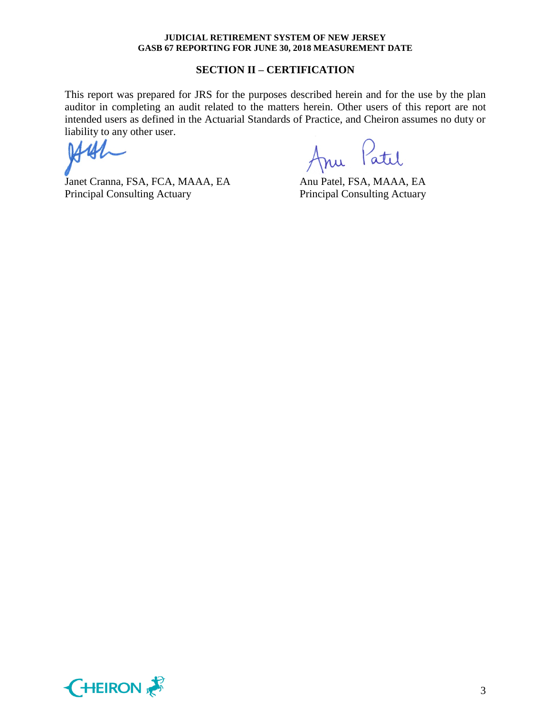### **SECTION II – CERTIFICATION**

This report was prepared for JRS for the purposes described herein and for the use by the plan auditor in completing an audit related to the matters herein. Other users of this report are not intended users as defined in the Actuarial Standards of Practice, and Cheiron assumes no duty or liability to any other user.

Janet Cranna, FSA, FCA, MAAA, EA Anu Patel, FSA, MAAA, EA Principal Consulting Actuary Principal Consulting Actuary

Anu Patil

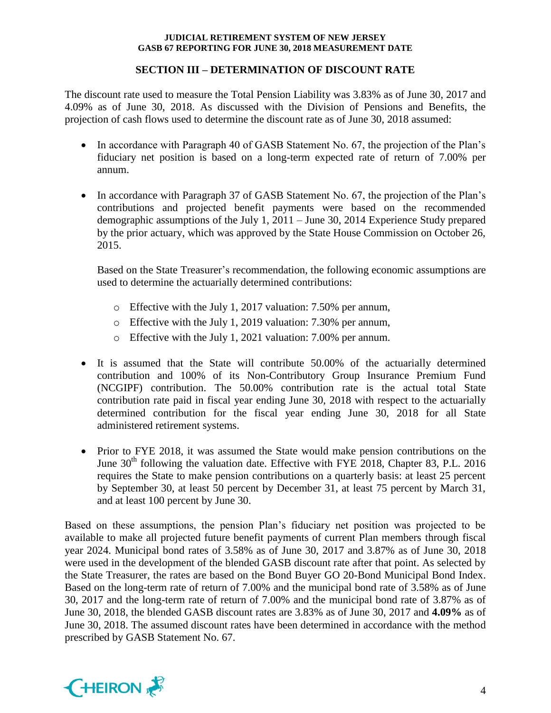## **SECTION III – DETERMINATION OF DISCOUNT RATE**

The discount rate used to measure the Total Pension Liability was 3.83% as of June 30, 2017 and 4.09% as of June 30, 2018. As discussed with the Division of Pensions and Benefits, the projection of cash flows used to determine the discount rate as of June 30, 2018 assumed:

- In accordance with Paragraph 40 of GASB Statement No. 67, the projection of the Plan's fiduciary net position is based on a long-term expected rate of return of 7.00% per annum.
- In accordance with Paragraph 37 of GASB Statement No. 67, the projection of the Plan's contributions and projected benefit payments were based on the recommended demographic assumptions of the July 1, 2011 – June 30, 2014 Experience Study prepared by the prior actuary, which was approved by the State House Commission on October 26, 2015.

Based on the State Treasurer's recommendation, the following economic assumptions are used to determine the actuarially determined contributions:

- o Effective with the July 1, 2017 valuation: 7.50% per annum,
- o Effective with the July 1, 2019 valuation: 7.30% per annum,
- o Effective with the July 1, 2021 valuation: 7.00% per annum.
- It is assumed that the State will contribute 50.00% of the actuarially determined contribution and 100% of its Non-Contributory Group Insurance Premium Fund (NCGIPF) contribution. The 50.00% contribution rate is the actual total State contribution rate paid in fiscal year ending June 30, 2018 with respect to the actuarially determined contribution for the fiscal year ending June 30, 2018 for all State administered retirement systems.
- Prior to FYE 2018, it was assumed the State would make pension contributions on the June  $30<sup>th</sup>$  following the valuation date. Effective with FYE 2018, Chapter 83, P.L. 2016 requires the State to make pension contributions on a quarterly basis: at least 25 percent by September 30, at least 50 percent by December 31, at least 75 percent by March 31, and at least 100 percent by June 30.

Based on these assumptions, the pension Plan's fiduciary net position was projected to be available to make all projected future benefit payments of current Plan members through fiscal year 2024. Municipal bond rates of 3.58% as of June 30, 2017 and 3.87% as of June 30, 2018 were used in the development of the blended GASB discount rate after that point. As selected by the State Treasurer, the rates are based on the Bond Buyer GO 20-Bond Municipal Bond Index. Based on the long-term rate of return of 7.00% and the municipal bond rate of 3.58% as of June 30, 2017 and the long-term rate of return of 7.00% and the municipal bond rate of 3.87% as of June 30, 2018, the blended GASB discount rates are 3.83% as of June 30, 2017 and **4.09%** as of June 30, 2018. The assumed discount rates have been determined in accordance with the method prescribed by GASB Statement No. 67.

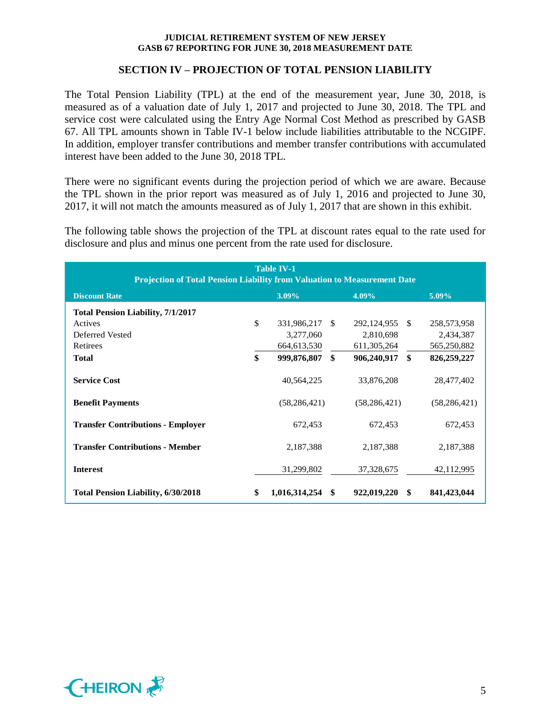## **SECTION IV – PROJECTION OF TOTAL PENSION LIABILITY**

The Total Pension Liability (TPL) at the end of the measurement year, June 30, 2018, is measured as of a valuation date of July 1, 2017 and projected to June 30, 2018. The TPL and service cost were calculated using the Entry Age Normal Cost Method as prescribed by GASB 67. All TPL amounts shown in Table IV-1 below include liabilities attributable to the NCGIPF. In addition, employer transfer contributions and member transfer contributions with accumulated interest have been added to the June 30, 2018 TPL.

There were no significant events during the projection period of which we are aware. Because the TPL shown in the prior report was measured as of July 1, 2016 and projected to June 30, 2017, it will not match the amounts measured as of July 1, 2017 that are shown in this exhibit.

The following table shows the projection of the TPL at discount rates equal to the rate used for disclosure and plus and minus one percent from the rate used for disclosure.

| <b>Table IV-1</b><br><b>Projection of Total Pension Liability from Valuation to Measurement Date</b> |    |                |              |                |    |                |  |  |
|------------------------------------------------------------------------------------------------------|----|----------------|--------------|----------------|----|----------------|--|--|
| 4.09%<br><b>Discount Rate</b><br>3.09%<br>5.09%                                                      |    |                |              |                |    |                |  |  |
| <b>Total Pension Liability, 7/1/2017</b>                                                             |    |                |              |                |    |                |  |  |
| Actives                                                                                              | \$ | 331,986,217    | <sup>S</sup> | 292,124,955 \$ |    | 258,573,958    |  |  |
| Deferred Vested                                                                                      |    | 3,277,060      |              | 2,810,698      |    | 2,434,387      |  |  |
| Retirees                                                                                             |    | 664, 613, 530  |              | 611, 305, 264  |    | 565,250,882    |  |  |
| <b>Total</b>                                                                                         | \$ | 999,876,807    | \$           | 906,240,917    | \$ | 826,259,227    |  |  |
| <b>Service Cost</b>                                                                                  |    | 40,564,225     |              | 33,876,208     |    | 28,477,402     |  |  |
| <b>Benefit Payments</b>                                                                              |    | (58, 286, 421) |              | (58, 286, 421) |    | (58, 286, 421) |  |  |
| <b>Transfer Contributions - Employer</b>                                                             |    | 672,453        |              | 672,453        |    | 672,453        |  |  |
| <b>Transfer Contributions - Member</b>                                                               |    | 2,187,388      |              | 2,187,388      |    | 2,187,388      |  |  |
| <b>Interest</b>                                                                                      |    | 31,299,802     |              | 37, 328, 675   |    | 42,112,995     |  |  |
| <b>Total Pension Liability, 6/30/2018</b>                                                            | \$ | 1,016,314,254  | -\$          | 922,019,220 \$ |    | 841,423,044    |  |  |

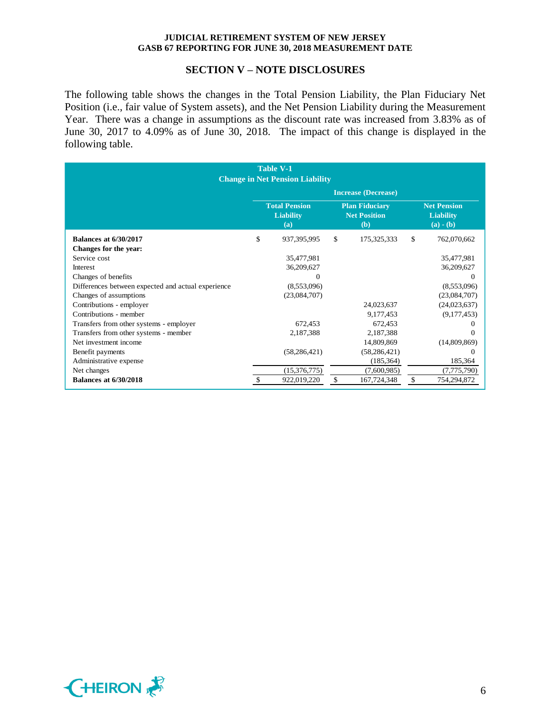### **SECTION V – NOTE DISCLOSURES**

The following table shows the changes in the Total Pension Liability, the Plan Fiduciary Net Position (i.e., fair value of System assets), and the Net Pension Liability during the Measurement Year. There was a change in assumptions as the discount rate was increased from 3.83% as of June 30, 2017 to 4.09% as of June 30, 2018. The impact of this change is displayed in the following table.

| <b>Table V-1</b><br><b>Change in Net Pension Liability</b> |                                                                                                        |                |    |                |                                                       |                |
|------------------------------------------------------------|--------------------------------------------------------------------------------------------------------|----------------|----|----------------|-------------------------------------------------------|----------------|
|                                                            | <b>Increase (Decrease)</b>                                                                             |                |    |                |                                                       |                |
|                                                            | <b>Total Pension</b><br><b>Plan Fiduciary</b><br><b>Net Position</b><br><b>Liability</b><br>(a)<br>(b) |                |    |                | <b>Net Pension</b><br><b>Liability</b><br>$(a) - (b)$ |                |
| <b>Balances at 6/30/2017</b>                               | \$                                                                                                     | 937,395,995    | \$ | 175,325,333    | \$                                                    | 762,070,662    |
| Changes for the year:                                      |                                                                                                        |                |    |                |                                                       |                |
| Service cost                                               |                                                                                                        | 35,477,981     |    |                |                                                       | 35,477,981     |
| Interest                                                   |                                                                                                        | 36,209,627     |    |                |                                                       | 36,209,627     |
| Changes of benefits                                        |                                                                                                        |                |    |                |                                                       | $\Omega$       |
| Differences between expected and actual experience         |                                                                                                        | (8,553,096)    |    |                |                                                       | (8,553,096)    |
| Changes of assumptions                                     |                                                                                                        | (23,084,707)   |    |                |                                                       | (23,084,707)   |
| Contributions - employer                                   |                                                                                                        |                |    | 24,023,637     |                                                       | (24, 023, 637) |
| Contributions - member                                     |                                                                                                        |                |    | 9,177,453      |                                                       | (9,177,453)    |
| Transfers from other systems - employer                    |                                                                                                        | 672,453        |    | 672,453        |                                                       | $\Omega$       |
| Transfers from other systems - member                      |                                                                                                        | 2,187,388      |    | 2,187,388      |                                                       | $\Omega$       |
| Net investment income                                      |                                                                                                        |                |    | 14,809,869     |                                                       | (14,809,869)   |
| Benefit payments                                           |                                                                                                        | (58, 286, 421) |    | (58, 286, 421) |                                                       | $\Omega$       |
| Administrative expense                                     |                                                                                                        |                |    | (185, 364)     |                                                       | 185,364        |
| Net changes                                                |                                                                                                        | (15,376,775)   |    | (7,600,985)    |                                                       | (7,775,790)    |
| <b>Balances at 6/30/2018</b>                               | \$                                                                                                     | 922,019,220    | \$ | 167,724,348    | \$                                                    | 754,294,872    |

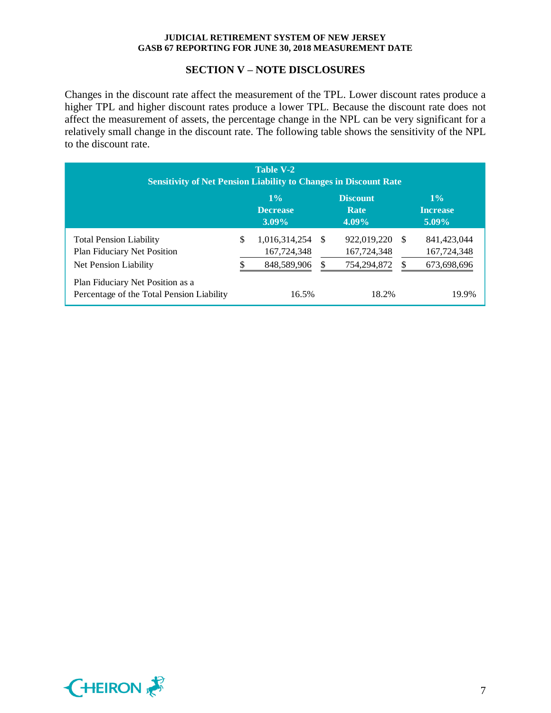### **SECTION V – NOTE DISCLOSURES**

Changes in the discount rate affect the measurement of the TPL. Lower discount rates produce a higher TPL and higher discount rates produce a lower TPL. Because the discount rate does not affect the measurement of assets, the percentage change in the NPL can be very significant for a relatively small change in the discount rate. The following table shows the sensitivity of the NPL to the discount rate.

| <b>Table V-2</b><br><b>Sensitivity of Net Pension Liability to Changes in Discount Rate</b>   |    |                                             |      |                                           |      |                                           |  |  |
|-----------------------------------------------------------------------------------------------|----|---------------------------------------------|------|-------------------------------------------|------|-------------------------------------------|--|--|
|                                                                                               |    | $1\%$<br>Decrease<br>$3.09\%$               |      | <b>Discount</b><br>Rate<br>$4.09\%$       |      | $1\%$<br><b>Increase</b><br>$5.09\%$      |  |  |
| <b>Total Pension Liability</b><br><b>Plan Fiduciary Net Position</b><br>Net Pension Liability | \$ | 1,016,314,254<br>167,724,348<br>848,589,906 | - \$ | 922,019,220<br>167,724,348<br>754,294,872 | - \$ | 841,423,044<br>167,724,348<br>673,698,696 |  |  |
| Plan Fiduciary Net Position as a<br>Percentage of the Total Pension Liability                 |    | 16.5%                                       |      | 18.2%                                     |      | 19.9%                                     |  |  |

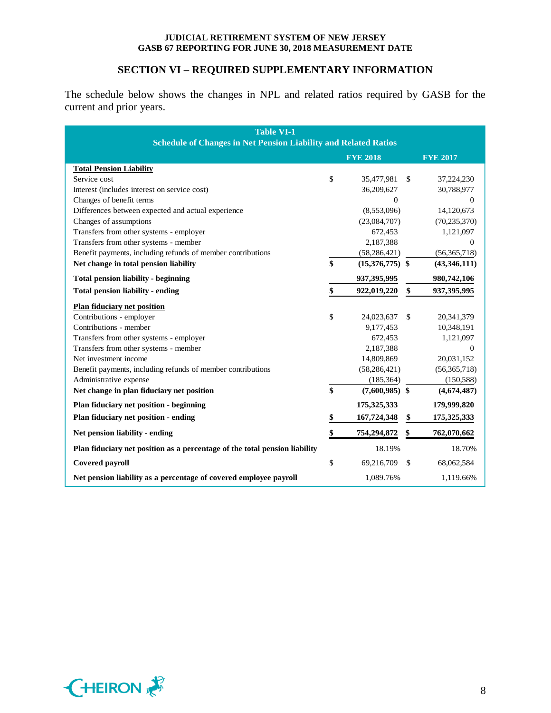## **SECTION VI – REQUIRED SUPPLEMENTARY INFORMATION**

The schedule below shows the changes in NPL and related ratios required by GASB for the current and prior years.

| <b>Table VI-1</b><br><b>Schedule of Changes in Net Pension Liability and Related Ratios</b> |    |                   |               |                 |  |
|---------------------------------------------------------------------------------------------|----|-------------------|---------------|-----------------|--|
|                                                                                             |    | <b>FYE 2018</b>   |               | <b>FYE 2017</b> |  |
| <b>Total Pension Liability</b>                                                              |    |                   |               |                 |  |
| Service cost                                                                                | \$ | 35,477,981        | \$            | 37,224,230      |  |
| Interest (includes interest on service cost)                                                |    | 36,209,627        |               | 30,788,977      |  |
| Changes of benefit terms                                                                    |    | $\Omega$          |               | $\mathbf{0}$    |  |
| Differences between expected and actual experience                                          |    | (8,553,096)       |               | 14,120,673      |  |
| Changes of assumptions                                                                      |    | (23,084,707)      |               | (70, 235, 370)  |  |
| Transfers from other systems - employer                                                     |    | 672,453           |               | 1,121,097       |  |
| Transfers from other systems - member                                                       |    | 2,187,388         |               | $\Omega$        |  |
| Benefit payments, including refunds of member contributions                                 |    | (58, 286, 421)    |               | (56, 365, 718)  |  |
| Net change in total pension liability                                                       | \$ | $(15,376,775)$ \$ |               | (43,346,111)    |  |
| <b>Total pension liability - beginning</b>                                                  |    | 937, 395, 995     |               | 980,742,106     |  |
| <b>Total pension liability - ending</b>                                                     | \$ | 922,019,220       | \$            | 937, 395, 995   |  |
| <b>Plan fiduciary net position</b>                                                          |    |                   |               |                 |  |
| Contributions - employer                                                                    | \$ | 24,023,637        | $\mathcal{S}$ | 20,341,379      |  |
| Contributions - member                                                                      |    | 9,177,453         |               | 10,348,191      |  |
| Transfers from other systems - employer                                                     |    | 672,453           |               | 1,121,097       |  |
| Transfers from other systems - member                                                       |    | 2,187,388         |               | $\Omega$        |  |
| Net investment income                                                                       |    | 14,809,869        |               | 20,031,152      |  |
| Benefit payments, including refunds of member contributions                                 |    | (58, 286, 421)    |               | (56,365,718)    |  |
| Administrative expense                                                                      |    | (185, 364)        |               | (150, 588)      |  |
| Net change in plan fiduciary net position                                                   | \$ | $(7,600,985)$ \$  |               | (4,674,487)     |  |
| <b>Plan fiduciary net position - beginning</b>                                              |    | 175, 325, 333     |               | 179,999,820     |  |
| Plan fiduciary net position - ending                                                        | \$ | 167,724,348       | \$            | 175,325,333     |  |
| Net pension liability - ending                                                              | \$ | 754,294,872       | \$            | 762,070,662     |  |
| Plan fiduciary net position as a percentage of the total pension liability                  |    | 18.19%            |               | 18.70%          |  |
| <b>Covered payroll</b>                                                                      | \$ | 69,216,709        | <sup>\$</sup> | 68,062,584      |  |
| Net pension liability as a percentage of covered employee payroll                           |    | 1,089.76%         |               | 1,119.66%       |  |

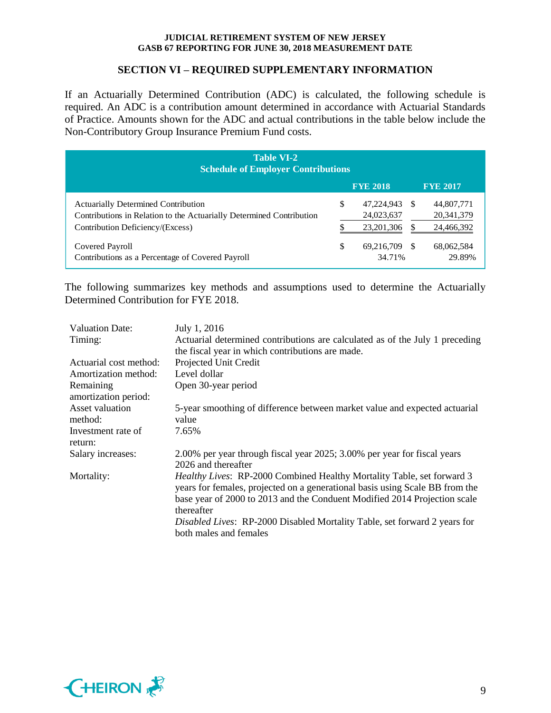## **SECTION VI – REQUIRED SUPPLEMENTARY INFORMATION**

If an Actuarially Determined Contribution (ADC) is calculated, the following schedule is required. An ADC is a contribution amount determined in accordance with Actuarial Standards of Practice. Amounts shown for the ADC and actual contributions in the table below include the Non-Contributory Group Insurance Premium Fund costs.

| <b>Table VI-2</b><br><b>Schedule of Employer Contributions</b>                                                                                         |    |                                          |    |                                          |  |  |
|--------------------------------------------------------------------------------------------------------------------------------------------------------|----|------------------------------------------|----|------------------------------------------|--|--|
|                                                                                                                                                        |    | <b>FYE 2018</b>                          |    | <b>FYE 2017</b>                          |  |  |
| <b>Actuarially Determined Contribution</b><br>Contributions in Relation to the Actuarially Determined Contribution<br>Contribution Deficiency/(Excess) | \$ | 47,224,943<br>24,023,637<br>23, 201, 306 | -S | 44,807,771<br>20, 341, 379<br>24,466,392 |  |  |
| Covered Payroll<br>Contributions as a Percentage of Covered Payroll                                                                                    | \$ | 69,216,709 \$<br>34.71%                  |    | 68,062,584<br>29.89%                     |  |  |

The following summarizes key methods and assumptions used to determine the Actuarially Determined Contribution for FYE 2018.

| <b>Valuation Date:</b> | July 1, 2016                                                                 |
|------------------------|------------------------------------------------------------------------------|
| Timing:                | Actuarial determined contributions are calculated as of the July 1 preceding |
|                        | the fiscal year in which contributions are made.                             |
| Actuarial cost method: | Projected Unit Credit                                                        |
| Amortization method:   | Level dollar                                                                 |
| Remaining              | Open 30-year period                                                          |
| amortization period:   |                                                                              |
| Asset valuation        | 5-year smoothing of difference between market value and expected actuarial   |
| method:                | value                                                                        |
| Investment rate of     | 7.65%                                                                        |
| return:                |                                                                              |
| Salary increases:      | 2.00% per year through fiscal year 2025; 3.00% per year for fiscal years     |
|                        | 2026 and thereafter                                                          |
| Mortality:             | Healthy Lives: RP-2000 Combined Healthy Mortality Table, set forward 3       |
|                        | years for females, projected on a generational basis using Scale BB from the |
|                        | base year of 2000 to 2013 and the Conduent Modified 2014 Projection scale    |
|                        | thereafter                                                                   |
|                        | Disabled Lives: RP-2000 Disabled Mortality Table, set forward 2 years for    |
|                        | both males and females                                                       |

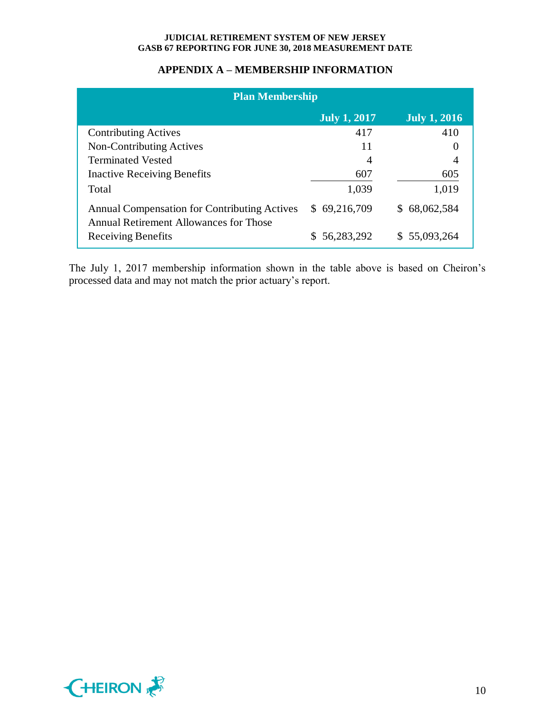## **APPENDIX A – MEMBERSHIP INFORMATION**

| <b>Plan Membership</b>                                                                        |                     |                     |  |  |  |  |
|-----------------------------------------------------------------------------------------------|---------------------|---------------------|--|--|--|--|
|                                                                                               | <b>July 1, 2017</b> | <b>July 1, 2016</b> |  |  |  |  |
| <b>Contributing Actives</b>                                                                   | 417                 | 410                 |  |  |  |  |
| Non-Contributing Actives                                                                      | 11                  |                     |  |  |  |  |
| <b>Terminated Vested</b>                                                                      | $\overline{A}$      |                     |  |  |  |  |
| <b>Inactive Receiving Benefits</b>                                                            | 607                 | 605                 |  |  |  |  |
| Total                                                                                         | 1,039               | 1,019               |  |  |  |  |
| <b>Annual Compensation for Contributing Actives</b><br>Annual Retirement Allowances for Those | \$69,216,709        | \$68,062,584        |  |  |  |  |
| <b>Receiving Benefits</b>                                                                     | 56,283,292          | \$55,093,264        |  |  |  |  |

The July 1, 2017 membership information shown in the table above is based on Cheiron's processed data and may not match the prior actuary's report.

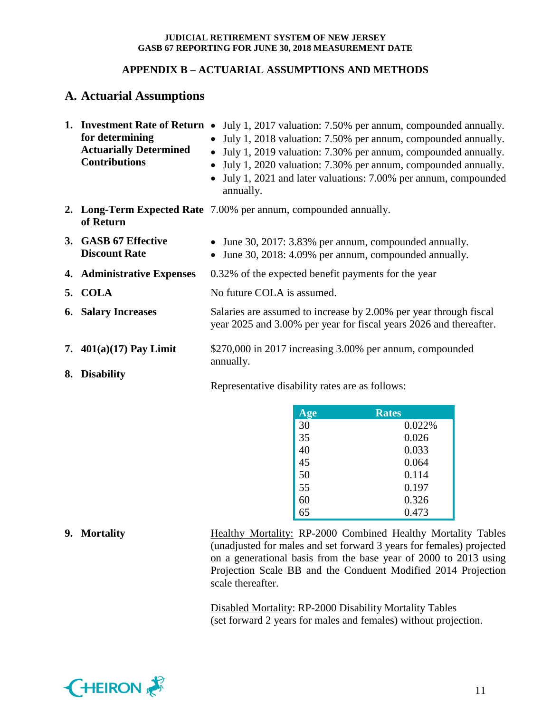## **APPENDIX B – ACTUARIAL ASSUMPTIONS AND METHODS**

# **A. Actuarial Assumptions**

| for determining<br><b>Actuarially Determined</b><br><b>Contributions</b> | <b>1. Investment Rate of Return •</b> July 1, 2017 valuation: 7.50% per annum, compounded annually.<br>• July 1, 2018 valuation: 7.50% per annum, compounded annually.<br>• July 1, 2019 valuation: 7.30% per annum, compounded annually.<br>July 1, 2020 valuation: 7.30% per annum, compounded annually.<br>• July 1, 2021 and later valuations: 7.00% per annum, compounded<br>annually. |
|--------------------------------------------------------------------------|---------------------------------------------------------------------------------------------------------------------------------------------------------------------------------------------------------------------------------------------------------------------------------------------------------------------------------------------------------------------------------------------|
| of Return                                                                | 2. Long-Term Expected Rate 7.00% per annum, compounded annually.                                                                                                                                                                                                                                                                                                                            |
| 3. GASB 67 Effective<br><b>Discount Rate</b>                             | • June 30, 2017: 3.83% per annum, compounded annually.<br>June 30, 2018: 4.09% per annum, compounded annually.                                                                                                                                                                                                                                                                              |
| 4. Administrative Expenses                                               | 0.32% of the expected benefit payments for the year                                                                                                                                                                                                                                                                                                                                         |
| 5. COLA                                                                  | No future COLA is assumed.                                                                                                                                                                                                                                                                                                                                                                  |
| <b>6. Salary Increases</b>                                               | Salaries are assumed to increase by 2.00% per year through fiscal<br>year 2025 and 3.00% per year for fiscal years 2026 and thereafter.                                                                                                                                                                                                                                                     |
| 7. $401(a)(17)$ Pay Limit                                                | \$270,000 in 2017 increasing 3.00% per annum, compounded<br>annually.                                                                                                                                                                                                                                                                                                                       |
| 8. Disability                                                            | Representative disability rates are as follows:                                                                                                                                                                                                                                                                                                                                             |

| <b>Age</b> | <b>Rates</b> |
|------------|--------------|
| 30         | 0.022%       |
| 35         | 0.026        |
| 40         | 0.033        |
| 45         | 0.064        |
| 50         | 0.114        |
| 55         | 0.197        |
| 60         | 0.326        |
| 65         | 0.473        |

**9. Mortality** Healthy Mortality: RP-2000 Combined Healthy Mortality Tables (unadjusted for males and set forward 3 years for females) projected on a generational basis from the base year of 2000 to 2013 using Projection Scale BB and the Conduent Modified 2014 Projection scale thereafter.

> Disabled Mortality: RP-2000 Disability Mortality Tables (set forward 2 years for males and females) without projection.

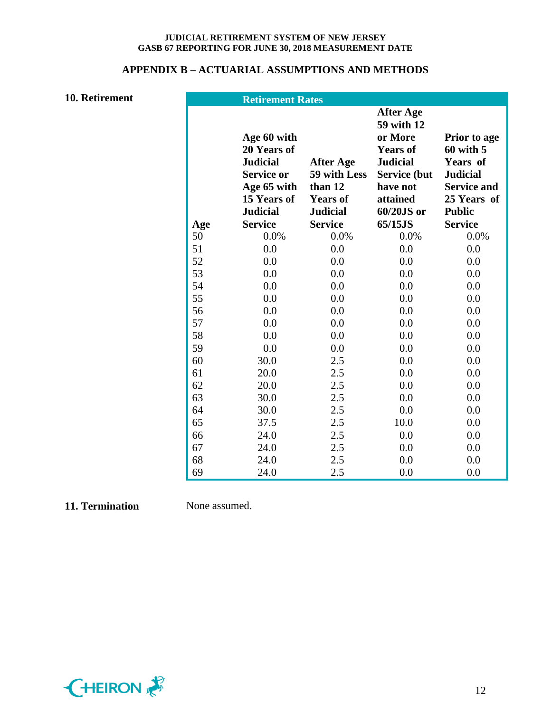## **APPENDIX B – ACTUARIAL ASSUMPTIONS AND METHODS**

**10. Retirement** 

|     | <b>Retirement Rates</b>                                                                                             |                                                                                   |                                                                                                                                              |                                                                                                                           |
|-----|---------------------------------------------------------------------------------------------------------------------|-----------------------------------------------------------------------------------|----------------------------------------------------------------------------------------------------------------------------------------------|---------------------------------------------------------------------------------------------------------------------------|
|     | Age 60 with<br>20 Years of<br><b>Judicial</b><br><b>Service or</b><br>Age 65 with<br>15 Years of<br><b>Judicial</b> | <b>After Age</b><br>59 with Less<br>than 12<br><b>Years of</b><br><b>Judicial</b> | <b>After Age</b><br>59 with 12<br>or More<br><b>Years of</b><br><b>Judicial</b><br><b>Service</b> (but<br>have not<br>attained<br>60/20JS or | <b>Prior to age</b><br>$60$ with $5$<br>Years of<br><b>Judicial</b><br><b>Service and</b><br>25 Years of<br><b>Public</b> |
| Age | <b>Service</b>                                                                                                      | <b>Service</b>                                                                    | 65/15JS                                                                                                                                      | <b>Service</b>                                                                                                            |
| 50  | 0.0%                                                                                                                | 0.0%                                                                              | 0.0%                                                                                                                                         | 0.0%                                                                                                                      |
| 51  | 0.0                                                                                                                 | 0.0                                                                               | 0.0                                                                                                                                          | 0.0                                                                                                                       |
| 52  | 0.0                                                                                                                 | 0.0                                                                               | 0.0                                                                                                                                          | 0.0                                                                                                                       |
| 53  | 0.0                                                                                                                 | 0.0                                                                               | 0.0                                                                                                                                          | 0.0                                                                                                                       |
| 54  | 0.0                                                                                                                 | 0.0                                                                               | 0.0                                                                                                                                          | 0.0                                                                                                                       |
| 55  | 0.0                                                                                                                 | 0.0                                                                               | 0.0                                                                                                                                          | 0.0                                                                                                                       |
| 56  | 0.0                                                                                                                 | 0.0                                                                               | 0.0                                                                                                                                          | 0.0                                                                                                                       |
| 57  | 0.0                                                                                                                 | 0.0                                                                               | 0.0                                                                                                                                          | 0.0                                                                                                                       |
| 58  | 0.0                                                                                                                 | 0.0                                                                               | 0.0                                                                                                                                          | 0.0                                                                                                                       |
| 59  | 0.0                                                                                                                 | 0.0                                                                               | 0.0                                                                                                                                          | 0.0                                                                                                                       |
| 60  | 30.0                                                                                                                | 2.5                                                                               | 0.0                                                                                                                                          | 0.0                                                                                                                       |
| 61  | 20.0                                                                                                                | 2.5                                                                               | 0.0                                                                                                                                          | 0.0                                                                                                                       |
| 62  | 20.0                                                                                                                | 2.5                                                                               | 0.0                                                                                                                                          | 0.0                                                                                                                       |
| 63  | 30.0                                                                                                                | 2.5                                                                               | 0.0                                                                                                                                          | 0.0                                                                                                                       |
| 64  | 30.0                                                                                                                | 2.5                                                                               | 0.0                                                                                                                                          | 0.0                                                                                                                       |
| 65  | 37.5                                                                                                                | 2.5                                                                               | 10.0                                                                                                                                         | 0.0                                                                                                                       |
| 66  | 24.0                                                                                                                | 2.5                                                                               | 0.0                                                                                                                                          | 0.0                                                                                                                       |
| 67  | 24.0                                                                                                                | 2.5                                                                               | 0.0                                                                                                                                          | 0.0                                                                                                                       |
| 68  | 24.0                                                                                                                | 2.5                                                                               | 0.0                                                                                                                                          | 0.0                                                                                                                       |
| 69  | 24.0                                                                                                                | 2.5                                                                               | 0.0                                                                                                                                          | 0.0                                                                                                                       |

## **11. Termination** None assumed.

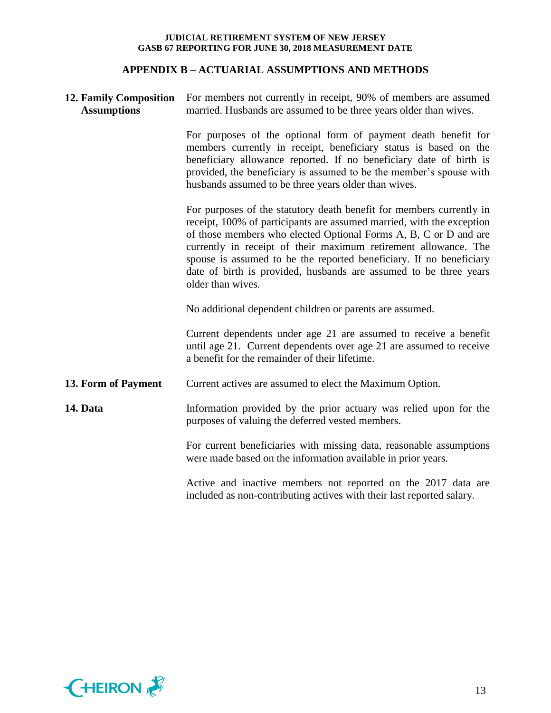## **APPENDIX B – ACTUARIAL ASSUMPTIONS AND METHODS**

| <b>12. Family Composition</b><br><b>Assumptions</b> | For members not currently in receipt, 90% of members are assumed<br>married. Husbands are assumed to be three years older than wives.                                                                                                                                                                                                                                                                                                                 |  |  |  |  |  |
|-----------------------------------------------------|-------------------------------------------------------------------------------------------------------------------------------------------------------------------------------------------------------------------------------------------------------------------------------------------------------------------------------------------------------------------------------------------------------------------------------------------------------|--|--|--|--|--|
|                                                     | For purposes of the optional form of payment death benefit for<br>members currently in receipt, beneficiary status is based on the<br>beneficiary allowance reported. If no beneficiary date of birth is<br>provided, the beneficiary is assumed to be the member's spouse with<br>husbands assumed to be three years older than wives.                                                                                                               |  |  |  |  |  |
|                                                     | For purposes of the statutory death benefit for members currently in<br>receipt, 100% of participants are assumed married, with the exception<br>of those members who elected Optional Forms A, B, C or D and are<br>currently in receipt of their maximum retirement allowance. The<br>spouse is assumed to be the reported beneficiary. If no beneficiary<br>date of birth is provided, husbands are assumed to be three years<br>older than wives. |  |  |  |  |  |
|                                                     | No additional dependent children or parents are assumed.                                                                                                                                                                                                                                                                                                                                                                                              |  |  |  |  |  |
|                                                     | Current dependents under age 21 are assumed to receive a benefit<br>until age 21. Current dependents over age 21 are assumed to receive<br>a benefit for the remainder of their lifetime.                                                                                                                                                                                                                                                             |  |  |  |  |  |
| 13. Form of Payment                                 | Current actives are assumed to elect the Maximum Option.                                                                                                                                                                                                                                                                                                                                                                                              |  |  |  |  |  |
| 14. Data                                            | Information provided by the prior actuary was relied upon for the<br>purposes of valuing the deferred vested members.                                                                                                                                                                                                                                                                                                                                 |  |  |  |  |  |
|                                                     | For current beneficiaries with missing data, reasonable assumptions<br>were made based on the information available in prior years.                                                                                                                                                                                                                                                                                                                   |  |  |  |  |  |
|                                                     | Active and inactive members not reported on the 2017 data are<br>included as non-contributing actives with their last reported salary.                                                                                                                                                                                                                                                                                                                |  |  |  |  |  |

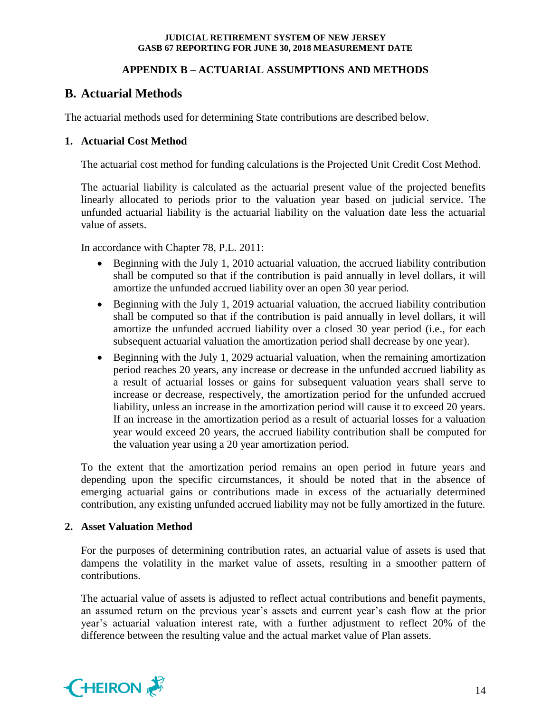## **APPENDIX B – ACTUARIAL ASSUMPTIONS AND METHODS**

# **B. Actuarial Methods**

The actuarial methods used for determining State contributions are described below.

## **1. Actuarial Cost Method**

The actuarial cost method for funding calculations is the Projected Unit Credit Cost Method.

The actuarial liability is calculated as the actuarial present value of the projected benefits linearly allocated to periods prior to the valuation year based on judicial service. The unfunded actuarial liability is the actuarial liability on the valuation date less the actuarial value of assets.

In accordance with Chapter 78, P.L. 2011:

- Beginning with the July 1, 2010 actuarial valuation, the accrued liability contribution shall be computed so that if the contribution is paid annually in level dollars, it will amortize the unfunded accrued liability over an open 30 year period.
- Beginning with the July 1, 2019 actuarial valuation, the accrued liability contribution shall be computed so that if the contribution is paid annually in level dollars, it will amortize the unfunded accrued liability over a closed 30 year period (i.e., for each subsequent actuarial valuation the amortization period shall decrease by one year).
- Beginning with the July 1, 2029 actuarial valuation, when the remaining amortization period reaches 20 years, any increase or decrease in the unfunded accrued liability as a result of actuarial losses or gains for subsequent valuation years shall serve to increase or decrease, respectively, the amortization period for the unfunded accrued liability, unless an increase in the amortization period will cause it to exceed 20 years. If an increase in the amortization period as a result of actuarial losses for a valuation year would exceed 20 years, the accrued liability contribution shall be computed for the valuation year using a 20 year amortization period.

To the extent that the amortization period remains an open period in future years and depending upon the specific circumstances, it should be noted that in the absence of emerging actuarial gains or contributions made in excess of the actuarially determined contribution, any existing unfunded accrued liability may not be fully amortized in the future.

## **2. Asset Valuation Method**

For the purposes of determining contribution rates, an actuarial value of assets is used that dampens the volatility in the market value of assets, resulting in a smoother pattern of contributions.

The actuarial value of assets is adjusted to reflect actual contributions and benefit payments, an assumed return on the previous year's assets and current year's cash flow at the prior year's actuarial valuation interest rate, with a further adjustment to reflect 20% of the difference between the resulting value and the actual market value of Plan assets.

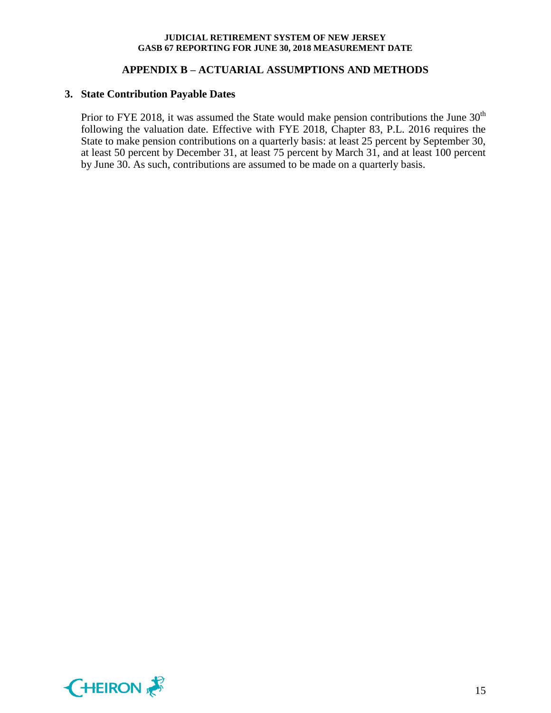## **APPENDIX B – ACTUARIAL ASSUMPTIONS AND METHODS**

### **3. State Contribution Payable Dates**

Prior to FYE 2018, it was assumed the State would make pension contributions the June  $30<sup>th</sup>$ following the valuation date. Effective with FYE 2018, Chapter 83, P.L. 2016 requires the State to make pension contributions on a quarterly basis: at least 25 percent by September 30, at least 50 percent by December 31, at least 75 percent by March 31, and at least 100 percent by June 30. As such, contributions are assumed to be made on a quarterly basis.

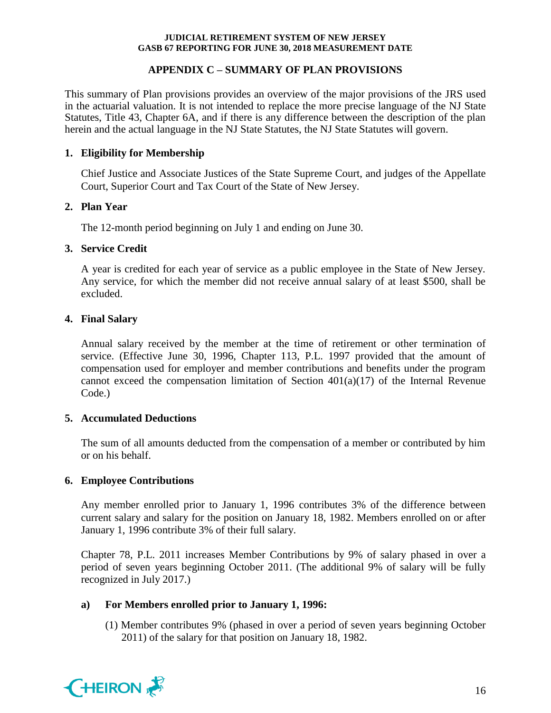## **APPENDIX C – SUMMARY OF PLAN PROVISIONS**

This summary of Plan provisions provides an overview of the major provisions of the JRS used in the actuarial valuation. It is not intended to replace the more precise language of the NJ State Statutes, Title 43, Chapter 6A, and if there is any difference between the description of the plan herein and the actual language in the NJ State Statutes, the NJ State Statutes will govern.

## **1. Eligibility for Membership**

Chief Justice and Associate Justices of the State Supreme Court, and judges of the Appellate Court, Superior Court and Tax Court of the State of New Jersey.

## **2. Plan Year**

The 12-month period beginning on July 1 and ending on June 30.

## **3. Service Credit**

A year is credited for each year of service as a public employee in the State of New Jersey. Any service, for which the member did not receive annual salary of at least \$500, shall be excluded.

## **4. Final Salary**

Annual salary received by the member at the time of retirement or other termination of service. (Effective June 30, 1996, Chapter 113, P.L. 1997 provided that the amount of compensation used for employer and member contributions and benefits under the program cannot exceed the compensation limitation of Section  $401(a)(17)$  of the Internal Revenue Code.)

## **5. Accumulated Deductions**

The sum of all amounts deducted from the compensation of a member or contributed by him or on his behalf.

## **6. Employee Contributions**

Any member enrolled prior to January 1, 1996 contributes 3% of the difference between current salary and salary for the position on January 18, 1982. Members enrolled on or after January 1, 1996 contribute 3% of their full salary.

Chapter 78, P.L. 2011 increases Member Contributions by 9% of salary phased in over a period of seven years beginning October 2011. (The additional 9% of salary will be fully recognized in July 2017.)

## **a) For Members enrolled prior to January 1, 1996:**

(1) Member contributes 9% (phased in over a period of seven years beginning October 2011) of the salary for that position on January 18, 1982.

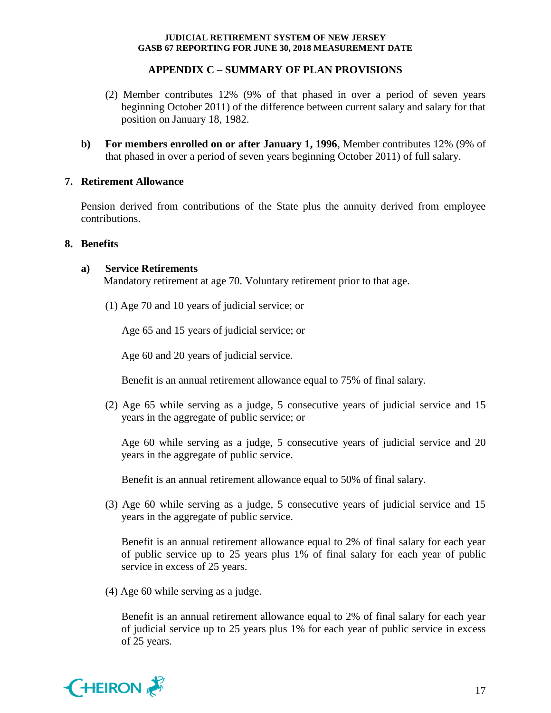## **APPENDIX C – SUMMARY OF PLAN PROVISIONS**

- (2) Member contributes 12% (9% of that phased in over a period of seven years beginning October 2011) of the difference between current salary and salary for that position on January 18, 1982.
- **b) For members enrolled on or after January 1, 1996**, Member contributes 12% (9% of that phased in over a period of seven years beginning October 2011) of full salary.

## **7. Retirement Allowance**

Pension derived from contributions of the State plus the annuity derived from employee contributions.

## **8. Benefits**

## **a) Service Retirements**

Mandatory retirement at age 70. Voluntary retirement prior to that age.

(1) Age 70 and 10 years of judicial service; or

Age 65 and 15 years of judicial service; or

Age 60 and 20 years of judicial service.

Benefit is an annual retirement allowance equal to 75% of final salary.

(2) Age 65 while serving as a judge, 5 consecutive years of judicial service and 15 years in the aggregate of public service; or

Age 60 while serving as a judge, 5 consecutive years of judicial service and 20 years in the aggregate of public service.

Benefit is an annual retirement allowance equal to 50% of final salary.

(3) Age 60 while serving as a judge, 5 consecutive years of judicial service and 15 years in the aggregate of public service.

Benefit is an annual retirement allowance equal to 2% of final salary for each year of public service up to 25 years plus 1% of final salary for each year of public service in excess of 25 years.

(4) Age 60 while serving as a judge.

Benefit is an annual retirement allowance equal to 2% of final salary for each year of judicial service up to 25 years plus 1% for each year of public service in excess of 25 years.

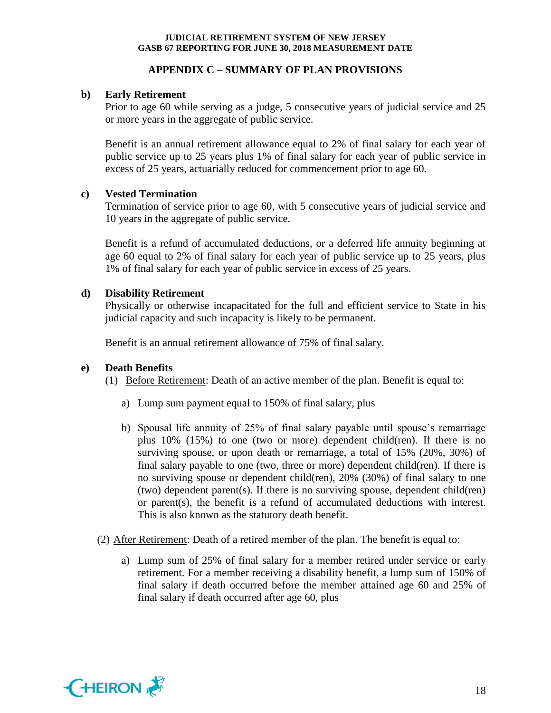## **APPENDIX C – SUMMARY OF PLAN PROVISIONS**

## **b) Early Retirement**

Prior to age 60 while serving as a judge, 5 consecutive years of judicial service and 25 or more years in the aggregate of public service.

Benefit is an annual retirement allowance equal to 2% of final salary for each year of public service up to 25 years plus 1% of final salary for each year of public service in excess of 25 years, actuarially reduced for commencement prior to age 60.

## **c) Vested Termination**

Termination of service prior to age 60, with 5 consecutive years of judicial service and 10 years in the aggregate of public service.

Benefit is a refund of accumulated deductions, or a deferred life annuity beginning at age 60 equal to 2% of final salary for each year of public service up to 25 years, plus 1% of final salary for each year of public service in excess of 25 years.

## **d) Disability Retirement**

Physically or otherwise incapacitated for the full and efficient service to State in his judicial capacity and such incapacity is likely to be permanent.

Benefit is an annual retirement allowance of 75% of final salary.

## **e) Death Benefits**

(1) Before Retirement: Death of an active member of the plan. Benefit is equal to:

- a) Lump sum payment equal to 150% of final salary, plus
- b) Spousal life annuity of 25% of final salary payable until spouse's remarriage plus 10% (15%) to one (two or more) dependent child(ren). If there is no surviving spouse, or upon death or remarriage, a total of 15% (20%, 30%) of final salary payable to one (two, three or more) dependent child(ren). If there is no surviving spouse or dependent child(ren), 20% (30%) of final salary to one (two) dependent parent(s). If there is no surviving spouse, dependent child(ren) or parent(s), the benefit is a refund of accumulated deductions with interest. This is also known as the statutory death benefit.
- (2) After Retirement: Death of a retired member of the plan. The benefit is equal to:
	- a) Lump sum of 25% of final salary for a member retired under service or early retirement. For a member receiving a disability benefit, a lump sum of 150% of final salary if death occurred before the member attained age 60 and 25% of final salary if death occurred after age 60, plus

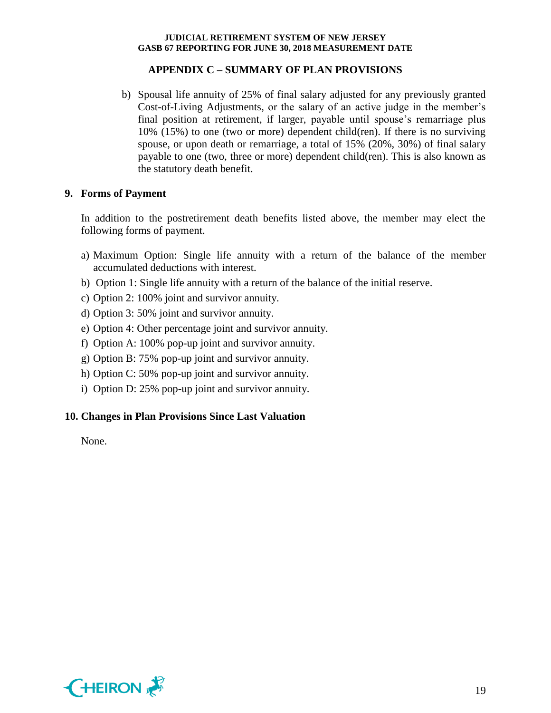## **APPENDIX C – SUMMARY OF PLAN PROVISIONS**

b) Spousal life annuity of 25% of final salary adjusted for any previously granted Cost-of-Living Adjustments, or the salary of an active judge in the member's final position at retirement, if larger, payable until spouse's remarriage plus 10% (15%) to one (two or more) dependent child(ren). If there is no surviving spouse, or upon death or remarriage, a total of 15% (20%, 30%) of final salary payable to one (two, three or more) dependent child(ren). This is also known as the statutory death benefit.

## **9. Forms of Payment**

In addition to the postretirement death benefits listed above, the member may elect the following forms of payment.

- a) Maximum Option: Single life annuity with a return of the balance of the member accumulated deductions with interest.
- b) Option 1: Single life annuity with a return of the balance of the initial reserve.
- c) Option 2: 100% joint and survivor annuity.
- d) Option 3: 50% joint and survivor annuity.
- e) Option 4: Other percentage joint and survivor annuity.
- f) Option A: 100% pop-up joint and survivor annuity.
- g) Option B: 75% pop-up joint and survivor annuity.
- h) Option C: 50% pop-up joint and survivor annuity.
- i) Option D: 25% pop-up joint and survivor annuity.

## **10. Changes in Plan Provisions Since Last Valuation**

None.

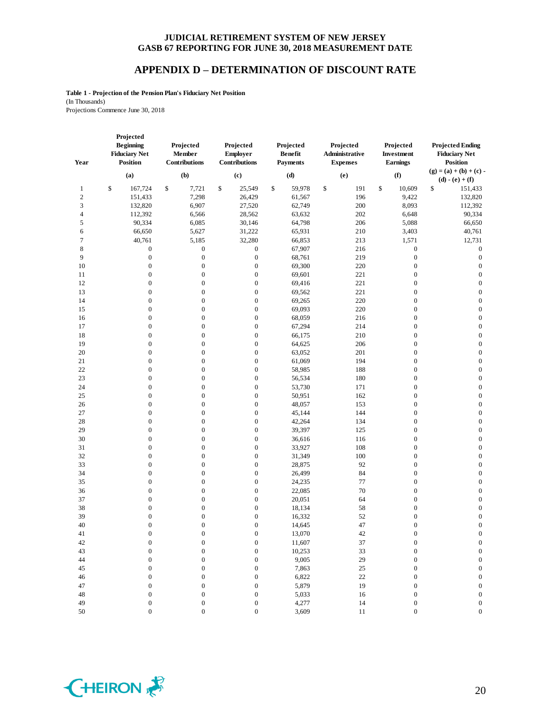## **APPENDIX D – DETERMINATION OF DISCOUNT RATE**

**Table 1 - Projection of the Pension Plan's Fiduciary Net Position** (In Thousands) Projections Commence June 30, 2018

| Year           | Projected<br><b>Beginning</b><br><b>Fiduciary Net</b><br><b>Position</b> | Projected<br>Member<br>Contributions | Projected<br>Employer<br>Contributions | Projected<br><b>Benefit</b><br><b>Payments</b> | Projected<br>Administrative<br><b>Expenses</b> | Projected<br>Investment<br><b>Earnings</b> | <b>Projected Ending</b><br><b>Fiduciary Net</b><br><b>Position</b> |
|----------------|--------------------------------------------------------------------------|--------------------------------------|----------------------------------------|------------------------------------------------|------------------------------------------------|--------------------------------------------|--------------------------------------------------------------------|
|                | (a)                                                                      | (b)                                  | (c)                                    | (d)                                            | (e)                                            | (f)                                        | $(g) = (a) + (b) + (c)$<br>$(d) - (e) + (f)$                       |
| $\mathbf{1}$   | \$<br>167,724                                                            | \$<br>7,721                          | \$<br>25,549                           | \$<br>59,978                                   | \$<br>191                                      | \$<br>10,609                               | \$<br>151,433                                                      |
| $\sqrt{2}$     | 151,433                                                                  | 7,298                                | 26,429                                 | 61,567                                         | 196                                            | 9,422                                      | 132,820                                                            |
| 3              | 132,820                                                                  | 6,907                                | 27,520                                 | 62,749                                         | 200                                            | 8,093                                      | 112,392                                                            |
| $\overline{4}$ | 112,392                                                                  | 6,566                                | 28,562                                 | 63,632                                         | 202                                            | 6,648                                      | 90,334                                                             |
| 5              | 90,334                                                                   | 6,085                                | 30,146                                 | 64,798                                         | 206                                            | 5,088                                      | 66,650                                                             |
| 6              | 66,650                                                                   | 5,627                                | 31,222                                 | 65,931                                         | 210                                            | 3,403                                      | 40,761                                                             |
| $\tau$         | 40,761                                                                   | 5,185                                | 32,280                                 | 66,853                                         | 213                                            | 1,571                                      | 12,731                                                             |
| $\,$ 8 $\,$    | $\boldsymbol{0}$                                                         | $\boldsymbol{0}$                     | $\boldsymbol{0}$                       | 67,907                                         | 216                                            | $\boldsymbol{0}$                           | $\boldsymbol{0}$                                                   |
| 9              | $\boldsymbol{0}$                                                         | $\boldsymbol{0}$                     | $\boldsymbol{0}$                       | 68,761                                         | 219                                            | $\boldsymbol{0}$                           | $\boldsymbol{0}$                                                   |
| 10             | $\boldsymbol{0}$                                                         | $\boldsymbol{0}$                     | $\boldsymbol{0}$                       | 69,300                                         | 220                                            | $\boldsymbol{0}$                           | $\boldsymbol{0}$                                                   |
| 11             | $\boldsymbol{0}$                                                         | 0                                    | $\boldsymbol{0}$                       | 69,601                                         | 221                                            | $\boldsymbol{0}$                           | $\boldsymbol{0}$                                                   |
| 12             | $\boldsymbol{0}$                                                         | $\mathbf{0}$                         | $\boldsymbol{0}$                       | 69,416                                         | $221\,$                                        | $\boldsymbol{0}$                           | $\boldsymbol{0}$                                                   |
| 13             | $\boldsymbol{0}$                                                         | $\boldsymbol{0}$                     | $\boldsymbol{0}$                       | 69,562                                         | 221                                            | $\boldsymbol{0}$                           | $\boldsymbol{0}$                                                   |
| 14             | $\boldsymbol{0}$                                                         | $\boldsymbol{0}$                     | $\boldsymbol{0}$                       | 69,265                                         | 220                                            | $\boldsymbol{0}$                           | $\boldsymbol{0}$                                                   |
| 15             | $\boldsymbol{0}$                                                         | $\boldsymbol{0}$                     | $\boldsymbol{0}$                       | 69,093                                         | 220                                            | $\boldsymbol{0}$                           | $\boldsymbol{0}$                                                   |
| 16             | $\boldsymbol{0}$                                                         | 0                                    | $\boldsymbol{0}$                       | 68,059                                         | 216                                            | $\boldsymbol{0}$                           | $\boldsymbol{0}$                                                   |
| 17             | $\boldsymbol{0}$                                                         | $\mathbf{0}$                         | $\boldsymbol{0}$                       | 67,294                                         | 214                                            | $\boldsymbol{0}$                           | $\boldsymbol{0}$                                                   |
| 18             | $\boldsymbol{0}$                                                         | $\boldsymbol{0}$                     | $\boldsymbol{0}$                       | 66,175                                         | 210                                            | $\boldsymbol{0}$                           | $\boldsymbol{0}$                                                   |
| 19             | $\boldsymbol{0}$                                                         | $\mathbf{0}$                         | $\boldsymbol{0}$                       | 64,625                                         | 206                                            | $\boldsymbol{0}$                           | $\boldsymbol{0}$                                                   |
| 20             | $\boldsymbol{0}$                                                         | $\boldsymbol{0}$                     | $\boldsymbol{0}$                       | 63,052                                         | 201                                            | $\boldsymbol{0}$                           | $\boldsymbol{0}$                                                   |
| 21             | $\boldsymbol{0}$                                                         | $\boldsymbol{0}$                     | $\boldsymbol{0}$                       | 61,069                                         | 194                                            | $\boldsymbol{0}$                           | $\boldsymbol{0}$                                                   |
| 22             | $\boldsymbol{0}$                                                         | $\mathbf{0}$                         | $\boldsymbol{0}$                       | 58,985                                         | 188                                            | $\boldsymbol{0}$                           | $\boldsymbol{0}$                                                   |
| 23             | $\boldsymbol{0}$                                                         | $\boldsymbol{0}$                     | $\boldsymbol{0}$                       | 56,534                                         | 180                                            | $\boldsymbol{0}$                           | $\boldsymbol{0}$                                                   |
| 24             | $\boldsymbol{0}$                                                         | $\mathbf{0}$                         | $\boldsymbol{0}$                       | 53,730                                         | 171                                            | $\boldsymbol{0}$                           | $\boldsymbol{0}$                                                   |
| 25             | $\boldsymbol{0}$                                                         | $\boldsymbol{0}$                     | $\boldsymbol{0}$                       | 50,951                                         | 162                                            | $\boldsymbol{0}$                           | $\boldsymbol{0}$                                                   |
| 26             | $\boldsymbol{0}$                                                         | $\boldsymbol{0}$                     | $\boldsymbol{0}$                       | 48,057                                         | 153                                            | $\boldsymbol{0}$                           | $\boldsymbol{0}$                                                   |
| 27             | $\boldsymbol{0}$                                                         | $\mathbf{0}$                         | $\boldsymbol{0}$                       | 45,144                                         | 144                                            | $\boldsymbol{0}$                           | $\boldsymbol{0}$                                                   |
| 28             | $\boldsymbol{0}$                                                         | $\boldsymbol{0}$                     | $\boldsymbol{0}$                       | 42,264                                         | 134                                            | $\boldsymbol{0}$                           | $\boldsymbol{0}$                                                   |
| 29             | $\boldsymbol{0}$                                                         | $\boldsymbol{0}$                     | $\boldsymbol{0}$                       | 39,397                                         | 125                                            | $\boldsymbol{0}$                           | $\boldsymbol{0}$                                                   |
| 30             | $\boldsymbol{0}$                                                         | $\boldsymbol{0}$                     | $\boldsymbol{0}$                       | 36,616                                         | 116                                            | $\boldsymbol{0}$                           | $\boldsymbol{0}$                                                   |
| 31             | $\boldsymbol{0}$                                                         | $\boldsymbol{0}$                     | $\boldsymbol{0}$                       | 33,927                                         | 108                                            | $\boldsymbol{0}$                           | $\boldsymbol{0}$                                                   |
| 32             | $\boldsymbol{0}$                                                         | $\mathbf{0}$                         | $\boldsymbol{0}$                       | 31,349                                         | 100                                            | $\boldsymbol{0}$                           | $\boldsymbol{0}$                                                   |
| 33             | $\boldsymbol{0}$                                                         | $\boldsymbol{0}$                     | $\boldsymbol{0}$                       | 28,875                                         | 92                                             | $\boldsymbol{0}$                           | $\boldsymbol{0}$                                                   |
| 34             | $\boldsymbol{0}$                                                         | $\mathbf{0}$                         | $\boldsymbol{0}$                       | 26,499                                         | 84                                             | $\boldsymbol{0}$                           | $\boldsymbol{0}$                                                   |
| 35             | $\boldsymbol{0}$                                                         | $\boldsymbol{0}$                     | $\boldsymbol{0}$                       | 24,235                                         | 77                                             | $\boldsymbol{0}$                           | $\boldsymbol{0}$                                                   |
| 36             | $\boldsymbol{0}$                                                         | $\boldsymbol{0}$                     | $\boldsymbol{0}$                       | 22,085                                         | 70                                             | $\boldsymbol{0}$                           | $\boldsymbol{0}$                                                   |
| 37             | $\boldsymbol{0}$                                                         | $\mathbf{0}$                         | $\boldsymbol{0}$                       | 20,051                                         | 64                                             | $\boldsymbol{0}$                           | $\boldsymbol{0}$                                                   |
| 38             | $\boldsymbol{0}$                                                         | $\boldsymbol{0}$                     | $\boldsymbol{0}$                       | 18,134                                         | 58                                             | $\boldsymbol{0}$                           | $\boldsymbol{0}$                                                   |
| 39             | $\boldsymbol{0}$                                                         | $\boldsymbol{0}$                     | $\boldsymbol{0}$                       | 16,332                                         | 52                                             | $\boldsymbol{0}$                           | $\boldsymbol{0}$                                                   |
| 40             | $\boldsymbol{0}$                                                         | $\boldsymbol{0}$                     | $\boldsymbol{0}$                       | 14,645                                         | 47                                             | $\boldsymbol{0}$                           | $\boldsymbol{0}$                                                   |
| 41             | $\Omega$                                                                 | $\Omega$                             | $\boldsymbol{0}$                       | 13,070                                         | 42                                             | $\overline{0}$                             | $\Omega$                                                           |
| 42             | 0                                                                        | 0                                    | $\boldsymbol{0}$                       | 11,607                                         | 37                                             | $\boldsymbol{0}$                           | $\boldsymbol{0}$                                                   |
| 43             | 0                                                                        | $\boldsymbol{0}$                     | $\boldsymbol{0}$                       | 10,253                                         | 33                                             | $\boldsymbol{0}$                           | $\boldsymbol{0}$                                                   |
| $44\,$         | 0                                                                        | $\boldsymbol{0}$                     | $\boldsymbol{0}$                       | 9,005                                          | 29                                             | 0                                          | $\boldsymbol{0}$                                                   |
| $45\,$         | $\mathbf{0}$                                                             | 0                                    | $\boldsymbol{0}$                       | 7,863                                          | $25\,$                                         | $\mathbf{0}$                               | $\boldsymbol{0}$                                                   |
| $46\,$         | $\mathbf{0}$                                                             | $\overline{0}$                       | $\boldsymbol{0}$                       | 6,822                                          | $22\,$                                         | 0                                          | $\boldsymbol{0}$                                                   |
| 47             | 0                                                                        | 0                                    | $\boldsymbol{0}$                       | 5,879                                          | 19                                             | 0                                          | $\boldsymbol{0}$                                                   |
| $\sqrt{48}$    | 0                                                                        | 0                                    | $\boldsymbol{0}$                       | 5,033                                          | 16                                             | $\boldsymbol{0}$                           | $\boldsymbol{0}$                                                   |
| 49             | $\boldsymbol{0}$                                                         | $\boldsymbol{0}$                     | $\boldsymbol{0}$                       | 4,277                                          | 14                                             | $\boldsymbol{0}$                           | $\boldsymbol{0}$                                                   |

50 0 0 0 3,609 11 0 0 0

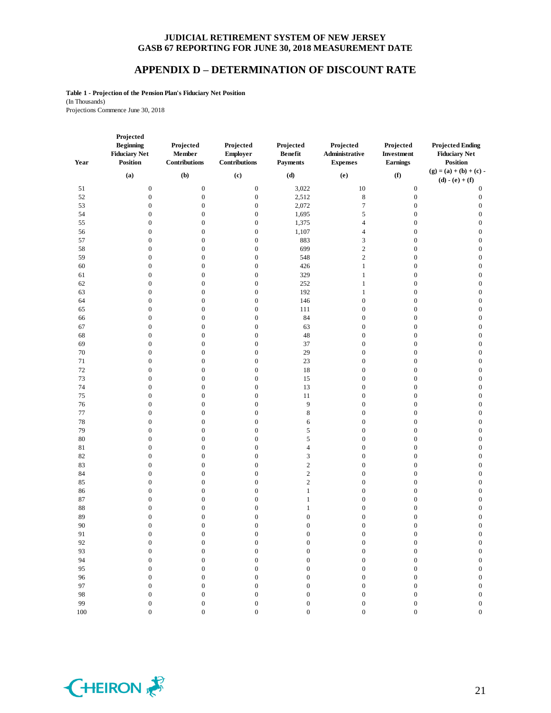## **APPENDIX D – DETERMINATION OF DISCOUNT RATE**

**Table 1 - Projection of the Pension Plan's Fiduciary Net Position** (In Thousands) Projections Commence June 30, 2018

| (f)<br>(a)<br>(b)<br>(c)<br>(d)<br>(e)<br>$\boldsymbol{0}$<br>$\boldsymbol{0}$<br>$\boldsymbol{0}$<br>3,022<br>$10\,$<br>51<br>$\boldsymbol{0}$<br>52<br>$\boldsymbol{0}$<br>$\boldsymbol{0}$<br>$\boldsymbol{0}$<br>2,512<br>$\,$ 8 $\,$<br>$\boldsymbol{0}$<br>53<br>$\boldsymbol{0}$<br>2,072<br>$\tau$<br>$\boldsymbol{0}$<br>$\boldsymbol{0}$<br>$\boldsymbol{0}$<br>54<br>$\boldsymbol{0}$<br>$\boldsymbol{0}$<br>1,695<br>$\sqrt{5}$<br>$\boldsymbol{0}$<br>$\boldsymbol{0}$<br>55<br>$\boldsymbol{0}$<br>$\mathbf{0}$<br>$\boldsymbol{0}$<br>1,375<br>$\overline{4}$<br>$\boldsymbol{0}$<br>56<br>$\boldsymbol{0}$<br>1,107<br>$\boldsymbol{0}$<br>$\boldsymbol{0}$<br>$\overline{4}$<br>$\boldsymbol{0}$<br>57<br>$\boldsymbol{0}$<br>$\boldsymbol{0}$<br>883<br>$\mathfrak{Z}$<br>$\boldsymbol{0}$<br>$\boldsymbol{0}$<br>58<br>$\boldsymbol{0}$<br>699<br>$\sqrt{2}$<br>$\boldsymbol{0}$<br>$\boldsymbol{0}$<br>$\boldsymbol{0}$<br>59<br>$\sqrt{2}$<br>$\boldsymbol{0}$<br>$\boldsymbol{0}$<br>548<br>$\boldsymbol{0}$<br>$\boldsymbol{0}$<br>60<br>$\boldsymbol{0}$<br>$\mathbf{0}$<br>$\boldsymbol{0}$<br>426<br>$\mathbf{1}$<br>$\boldsymbol{0}$<br>61<br>$\boldsymbol{0}$<br>329<br>$\boldsymbol{0}$<br>$\boldsymbol{0}$<br>$\mathbf{1}$<br>$\boldsymbol{0}$<br>62<br>252<br>$\boldsymbol{0}$<br>$\mathbf{0}$<br>$\boldsymbol{0}$<br>$\mathbf{1}$<br>$\boldsymbol{0}$<br>63<br>$\boldsymbol{0}$<br>$\boldsymbol{0}$<br>192<br>$\boldsymbol{0}$<br>$\mathbf{1}$<br>$\boldsymbol{0}$<br>64<br>$\boldsymbol{0}$<br>$\boldsymbol{0}$<br>146<br>$\boldsymbol{0}$<br>$\boldsymbol{0}$<br>$\boldsymbol{0}$<br>65<br>$\boldsymbol{0}$<br>$\mathbf{0}$<br>$\boldsymbol{0}$<br>111<br>$\boldsymbol{0}$<br>$\boldsymbol{0}$<br>$\boldsymbol{0}$<br>$\boldsymbol{0}$<br>84<br>$\boldsymbol{0}$<br>66<br>$\boldsymbol{0}$<br>$\boldsymbol{0}$<br>63<br>67<br>$\boldsymbol{0}$<br>$\mathbf{0}$<br>$\boldsymbol{0}$<br>$\boldsymbol{0}$<br>$\boldsymbol{0}$<br>68<br>$\boldsymbol{0}$<br>$\boldsymbol{0}$<br>48<br>$\boldsymbol{0}$<br>$\boldsymbol{0}$<br>$\mathbf{0}$<br>69<br>$\boldsymbol{0}$<br>$\boldsymbol{0}$<br>37<br>$\boldsymbol{0}$<br>$\boldsymbol{0}$<br>$\boldsymbol{0}$<br>29<br>70<br>$\boldsymbol{0}$<br>$\mathbf{0}$<br>$\boldsymbol{0}$<br>$\boldsymbol{0}$<br>$\boldsymbol{0}$<br>71<br>$\boldsymbol{0}$<br>$\boldsymbol{0}$<br>$23\,$<br>$\boldsymbol{0}$<br>$\boldsymbol{0}$<br>$\boldsymbol{0}$<br>$72\,$<br>18<br>$\boldsymbol{0}$<br>$\mathbf{0}$<br>$\boldsymbol{0}$<br>$\boldsymbol{0}$<br>$\boldsymbol{0}$<br>$73\,$<br>$\boldsymbol{0}$<br>$\boldsymbol{0}$<br>15<br>$\boldsymbol{0}$<br>$\boldsymbol{0}$<br>$\boldsymbol{0}$<br>74<br>$\boldsymbol{0}$<br>$\boldsymbol{0}$<br>13<br>$\boldsymbol{0}$<br>$\boldsymbol{0}$<br>$\boldsymbol{0}$<br>75<br>$\boldsymbol{0}$<br>$\mathbf{0}$<br>$\boldsymbol{0}$<br>11<br>$\boldsymbol{0}$<br>$\boldsymbol{0}$<br>76<br>$\boldsymbol{0}$<br>$\boldsymbol{0}$<br>$\overline{9}$<br>$\boldsymbol{0}$<br>$\boldsymbol{0}$<br>$\boldsymbol{0}$<br>$77 \,$<br>$\,$ 8 $\,$<br>$\boldsymbol{0}$<br>$\mathbf{0}$<br>$\boldsymbol{0}$<br>$\boldsymbol{0}$<br>$\boldsymbol{0}$<br>$78\,$<br>$\boldsymbol{0}$<br>$\boldsymbol{0}$<br>$\boldsymbol{0}$<br>$\boldsymbol{0}$<br>6<br>$\boldsymbol{0}$<br>79<br>$\boldsymbol{0}$<br>$\boldsymbol{0}$<br>5<br>$\boldsymbol{0}$<br>$\boldsymbol{0}$<br>$\boldsymbol{0}$<br>$80\,$<br>$\boldsymbol{0}$<br>$\mathbf{0}$<br>$\boldsymbol{0}$<br>5<br>$\boldsymbol{0}$<br>$\boldsymbol{0}$<br>81<br>$\boldsymbol{0}$<br>$\boldsymbol{0}$<br>$\boldsymbol{0}$<br>$\boldsymbol{0}$<br>$\boldsymbol{0}$<br>$\overline{4}$<br>82<br>$\boldsymbol{0}$<br>$\mathbf{0}$<br>$\boldsymbol{0}$<br>3<br>$\boldsymbol{0}$<br>$\boldsymbol{0}$<br>83<br>$\boldsymbol{0}$<br>$\boldsymbol{0}$<br>$\sqrt{2}$<br>$\boldsymbol{0}$<br>$\boldsymbol{0}$<br>$\mathbf{0}$<br>$\sqrt{2}$<br>84<br>$\boldsymbol{0}$<br>$\boldsymbol{0}$<br>$\boldsymbol{0}$<br>$\boldsymbol{0}$<br>$\boldsymbol{0}$<br>$\overline{2}$<br>85<br>$\boldsymbol{0}$<br>$\mathbf{0}$<br>$\boldsymbol{0}$<br>$\boldsymbol{0}$<br>$\boldsymbol{0}$<br>86<br>$\boldsymbol{0}$<br>$\boldsymbol{0}$<br>$\boldsymbol{0}$<br>$\boldsymbol{0}$<br>$\mathbf{1}$<br>$\boldsymbol{0}$<br>87<br>$\boldsymbol{0}$<br>$\mathbf{0}$<br>$\boldsymbol{0}$<br>$\boldsymbol{0}$<br>$\boldsymbol{0}$<br>1<br>$88\,$<br>$\boldsymbol{0}$<br>$\boldsymbol{0}$<br>$\boldsymbol{0}$<br>$\boldsymbol{0}$<br>$\boldsymbol{0}$<br>1<br>89<br>$\boldsymbol{0}$<br>$\boldsymbol{0}$<br>$\boldsymbol{0}$<br>$\boldsymbol{0}$<br>$\boldsymbol{0}$<br>$\boldsymbol{0}$<br>90<br>$\boldsymbol{0}$<br>$\boldsymbol{0}$<br>$\boldsymbol{0}$<br>$\mathbf{0}$<br>$\boldsymbol{0}$<br>$\boldsymbol{0}$<br>91<br>$\Omega$<br>$\boldsymbol{0}$<br>92<br>$\boldsymbol{0}$<br>$\boldsymbol{0}$<br>$\boldsymbol{0}$<br>$\boldsymbol{0}$<br>0<br>0<br>93<br>$\boldsymbol{0}$<br>$\boldsymbol{0}$<br>$\boldsymbol{0}$<br>$\mathbf{0}$<br>$\boldsymbol{0}$<br>$\mathbf{0}$<br>94<br>$\boldsymbol{0}$<br>$\overline{0}$<br>$\boldsymbol{0}$<br>$\boldsymbol{0}$<br>$\boldsymbol{0}$<br>$\boldsymbol{0}$ | <b>Projected Ending</b><br><b>Fiduciary Net</b><br><b>Position</b> | Projected<br>Investment<br><b>Earnings</b> | Projected<br>Administrative<br><b>Expenses</b> | Projected<br><b>Benefit</b><br><b>Payments</b> | Projected<br>Employer<br>Contributions | Projected<br>Member<br>Contributions | Projected<br><b>Beginning</b><br><b>Fiduciary Net</b><br>Position | Year |
|--------------------------------------------------------------------------------------------------------------------------------------------------------------------------------------------------------------------------------------------------------------------------------------------------------------------------------------------------------------------------------------------------------------------------------------------------------------------------------------------------------------------------------------------------------------------------------------------------------------------------------------------------------------------------------------------------------------------------------------------------------------------------------------------------------------------------------------------------------------------------------------------------------------------------------------------------------------------------------------------------------------------------------------------------------------------------------------------------------------------------------------------------------------------------------------------------------------------------------------------------------------------------------------------------------------------------------------------------------------------------------------------------------------------------------------------------------------------------------------------------------------------------------------------------------------------------------------------------------------------------------------------------------------------------------------------------------------------------------------------------------------------------------------------------------------------------------------------------------------------------------------------------------------------------------------------------------------------------------------------------------------------------------------------------------------------------------------------------------------------------------------------------------------------------------------------------------------------------------------------------------------------------------------------------------------------------------------------------------------------------------------------------------------------------------------------------------------------------------------------------------------------------------------------------------------------------------------------------------------------------------------------------------------------------------------------------------------------------------------------------------------------------------------------------------------------------------------------------------------------------------------------------------------------------------------------------------------------------------------------------------------------------------------------------------------------------------------------------------------------------------------------------------------------------------------------------------------------------------------------------------------------------------------------------------------------------------------------------------------------------------------------------------------------------------------------------------------------------------------------------------------------------------------------------------------------------------------------------------------------------------------------------------------------------------------------------------------------------------------------------------------------------------------------------------------------------------------------------------------------------------------------------------------------------------------------------------------------------------------------------------------------------------------------------------------------------------------------------------------------------------------------------------------------------------------------------------------------------------------------------------------------------------------------------------------------------------------------------------------------------------------------------------------------------------------------------------------------------------------------------------------------------------------------------------------------------------------------------------------------------------------------------------------------------------------------------------------------------------------------------------------------------------------------------------------------------------------------------------------------------------------------------------------------------------------------------------------------------------------------------------------------------------------------------------------------------------------------------------------------|--------------------------------------------------------------------|--------------------------------------------|------------------------------------------------|------------------------------------------------|----------------------------------------|--------------------------------------|-------------------------------------------------------------------|------|
|                                                                                                                                                                                                                                                                                                                                                                                                                                                                                                                                                                                                                                                                                                                                                                                                                                                                                                                                                                                                                                                                                                                                                                                                                                                                                                                                                                                                                                                                                                                                                                                                                                                                                                                                                                                                                                                                                                                                                                                                                                                                                                                                                                                                                                                                                                                                                                                                                                                                                                                                                                                                                                                                                                                                                                                                                                                                                                                                                                                                                                                                                                                                                                                                                                                                                                                                                                                                                                                                                                                                                                                                                                                                                                                                                                                                                                                                                                                                                                                                                                                                                                                                                                                                                                                                                                                                                                                                                                                                                                                                                                                                                                                                                                                                                                                                                                                                                                                                                                                                                                                                                                                    | $(g) = (a) + (b) + (c) -$<br>$(d) - (e) + (f)$                     |                                            |                                                |                                                |                                        |                                      |                                                                   |      |
|                                                                                                                                                                                                                                                                                                                                                                                                                                                                                                                                                                                                                                                                                                                                                                                                                                                                                                                                                                                                                                                                                                                                                                                                                                                                                                                                                                                                                                                                                                                                                                                                                                                                                                                                                                                                                                                                                                                                                                                                                                                                                                                                                                                                                                                                                                                                                                                                                                                                                                                                                                                                                                                                                                                                                                                                                                                                                                                                                                                                                                                                                                                                                                                                                                                                                                                                                                                                                                                                                                                                                                                                                                                                                                                                                                                                                                                                                                                                                                                                                                                                                                                                                                                                                                                                                                                                                                                                                                                                                                                                                                                                                                                                                                                                                                                                                                                                                                                                                                                                                                                                                                                    | $\boldsymbol{0}$                                                   |                                            |                                                |                                                |                                        |                                      |                                                                   |      |
|                                                                                                                                                                                                                                                                                                                                                                                                                                                                                                                                                                                                                                                                                                                                                                                                                                                                                                                                                                                                                                                                                                                                                                                                                                                                                                                                                                                                                                                                                                                                                                                                                                                                                                                                                                                                                                                                                                                                                                                                                                                                                                                                                                                                                                                                                                                                                                                                                                                                                                                                                                                                                                                                                                                                                                                                                                                                                                                                                                                                                                                                                                                                                                                                                                                                                                                                                                                                                                                                                                                                                                                                                                                                                                                                                                                                                                                                                                                                                                                                                                                                                                                                                                                                                                                                                                                                                                                                                                                                                                                                                                                                                                                                                                                                                                                                                                                                                                                                                                                                                                                                                                                    | $\boldsymbol{0}$                                                   |                                            |                                                |                                                |                                        |                                      |                                                                   |      |
|                                                                                                                                                                                                                                                                                                                                                                                                                                                                                                                                                                                                                                                                                                                                                                                                                                                                                                                                                                                                                                                                                                                                                                                                                                                                                                                                                                                                                                                                                                                                                                                                                                                                                                                                                                                                                                                                                                                                                                                                                                                                                                                                                                                                                                                                                                                                                                                                                                                                                                                                                                                                                                                                                                                                                                                                                                                                                                                                                                                                                                                                                                                                                                                                                                                                                                                                                                                                                                                                                                                                                                                                                                                                                                                                                                                                                                                                                                                                                                                                                                                                                                                                                                                                                                                                                                                                                                                                                                                                                                                                                                                                                                                                                                                                                                                                                                                                                                                                                                                                                                                                                                                    | $\boldsymbol{0}$                                                   |                                            |                                                |                                                |                                        |                                      |                                                                   |      |
|                                                                                                                                                                                                                                                                                                                                                                                                                                                                                                                                                                                                                                                                                                                                                                                                                                                                                                                                                                                                                                                                                                                                                                                                                                                                                                                                                                                                                                                                                                                                                                                                                                                                                                                                                                                                                                                                                                                                                                                                                                                                                                                                                                                                                                                                                                                                                                                                                                                                                                                                                                                                                                                                                                                                                                                                                                                                                                                                                                                                                                                                                                                                                                                                                                                                                                                                                                                                                                                                                                                                                                                                                                                                                                                                                                                                                                                                                                                                                                                                                                                                                                                                                                                                                                                                                                                                                                                                                                                                                                                                                                                                                                                                                                                                                                                                                                                                                                                                                                                                                                                                                                                    | $\boldsymbol{0}$                                                   |                                            |                                                |                                                |                                        |                                      |                                                                   |      |
|                                                                                                                                                                                                                                                                                                                                                                                                                                                                                                                                                                                                                                                                                                                                                                                                                                                                                                                                                                                                                                                                                                                                                                                                                                                                                                                                                                                                                                                                                                                                                                                                                                                                                                                                                                                                                                                                                                                                                                                                                                                                                                                                                                                                                                                                                                                                                                                                                                                                                                                                                                                                                                                                                                                                                                                                                                                                                                                                                                                                                                                                                                                                                                                                                                                                                                                                                                                                                                                                                                                                                                                                                                                                                                                                                                                                                                                                                                                                                                                                                                                                                                                                                                                                                                                                                                                                                                                                                                                                                                                                                                                                                                                                                                                                                                                                                                                                                                                                                                                                                                                                                                                    | $\boldsymbol{0}$                                                   |                                            |                                                |                                                |                                        |                                      |                                                                   |      |
|                                                                                                                                                                                                                                                                                                                                                                                                                                                                                                                                                                                                                                                                                                                                                                                                                                                                                                                                                                                                                                                                                                                                                                                                                                                                                                                                                                                                                                                                                                                                                                                                                                                                                                                                                                                                                                                                                                                                                                                                                                                                                                                                                                                                                                                                                                                                                                                                                                                                                                                                                                                                                                                                                                                                                                                                                                                                                                                                                                                                                                                                                                                                                                                                                                                                                                                                                                                                                                                                                                                                                                                                                                                                                                                                                                                                                                                                                                                                                                                                                                                                                                                                                                                                                                                                                                                                                                                                                                                                                                                                                                                                                                                                                                                                                                                                                                                                                                                                                                                                                                                                                                                    | $\boldsymbol{0}$                                                   |                                            |                                                |                                                |                                        |                                      |                                                                   |      |
|                                                                                                                                                                                                                                                                                                                                                                                                                                                                                                                                                                                                                                                                                                                                                                                                                                                                                                                                                                                                                                                                                                                                                                                                                                                                                                                                                                                                                                                                                                                                                                                                                                                                                                                                                                                                                                                                                                                                                                                                                                                                                                                                                                                                                                                                                                                                                                                                                                                                                                                                                                                                                                                                                                                                                                                                                                                                                                                                                                                                                                                                                                                                                                                                                                                                                                                                                                                                                                                                                                                                                                                                                                                                                                                                                                                                                                                                                                                                                                                                                                                                                                                                                                                                                                                                                                                                                                                                                                                                                                                                                                                                                                                                                                                                                                                                                                                                                                                                                                                                                                                                                                                    | $\boldsymbol{0}$                                                   |                                            |                                                |                                                |                                        |                                      |                                                                   |      |
|                                                                                                                                                                                                                                                                                                                                                                                                                                                                                                                                                                                                                                                                                                                                                                                                                                                                                                                                                                                                                                                                                                                                                                                                                                                                                                                                                                                                                                                                                                                                                                                                                                                                                                                                                                                                                                                                                                                                                                                                                                                                                                                                                                                                                                                                                                                                                                                                                                                                                                                                                                                                                                                                                                                                                                                                                                                                                                                                                                                                                                                                                                                                                                                                                                                                                                                                                                                                                                                                                                                                                                                                                                                                                                                                                                                                                                                                                                                                                                                                                                                                                                                                                                                                                                                                                                                                                                                                                                                                                                                                                                                                                                                                                                                                                                                                                                                                                                                                                                                                                                                                                                                    | $\boldsymbol{0}$                                                   |                                            |                                                |                                                |                                        |                                      |                                                                   |      |
|                                                                                                                                                                                                                                                                                                                                                                                                                                                                                                                                                                                                                                                                                                                                                                                                                                                                                                                                                                                                                                                                                                                                                                                                                                                                                                                                                                                                                                                                                                                                                                                                                                                                                                                                                                                                                                                                                                                                                                                                                                                                                                                                                                                                                                                                                                                                                                                                                                                                                                                                                                                                                                                                                                                                                                                                                                                                                                                                                                                                                                                                                                                                                                                                                                                                                                                                                                                                                                                                                                                                                                                                                                                                                                                                                                                                                                                                                                                                                                                                                                                                                                                                                                                                                                                                                                                                                                                                                                                                                                                                                                                                                                                                                                                                                                                                                                                                                                                                                                                                                                                                                                                    | $\boldsymbol{0}$                                                   |                                            |                                                |                                                |                                        |                                      |                                                                   |      |
|                                                                                                                                                                                                                                                                                                                                                                                                                                                                                                                                                                                                                                                                                                                                                                                                                                                                                                                                                                                                                                                                                                                                                                                                                                                                                                                                                                                                                                                                                                                                                                                                                                                                                                                                                                                                                                                                                                                                                                                                                                                                                                                                                                                                                                                                                                                                                                                                                                                                                                                                                                                                                                                                                                                                                                                                                                                                                                                                                                                                                                                                                                                                                                                                                                                                                                                                                                                                                                                                                                                                                                                                                                                                                                                                                                                                                                                                                                                                                                                                                                                                                                                                                                                                                                                                                                                                                                                                                                                                                                                                                                                                                                                                                                                                                                                                                                                                                                                                                                                                                                                                                                                    | $\boldsymbol{0}$                                                   |                                            |                                                |                                                |                                        |                                      |                                                                   |      |
|                                                                                                                                                                                                                                                                                                                                                                                                                                                                                                                                                                                                                                                                                                                                                                                                                                                                                                                                                                                                                                                                                                                                                                                                                                                                                                                                                                                                                                                                                                                                                                                                                                                                                                                                                                                                                                                                                                                                                                                                                                                                                                                                                                                                                                                                                                                                                                                                                                                                                                                                                                                                                                                                                                                                                                                                                                                                                                                                                                                                                                                                                                                                                                                                                                                                                                                                                                                                                                                                                                                                                                                                                                                                                                                                                                                                                                                                                                                                                                                                                                                                                                                                                                                                                                                                                                                                                                                                                                                                                                                                                                                                                                                                                                                                                                                                                                                                                                                                                                                                                                                                                                                    | $\boldsymbol{0}$                                                   |                                            |                                                |                                                |                                        |                                      |                                                                   |      |
|                                                                                                                                                                                                                                                                                                                                                                                                                                                                                                                                                                                                                                                                                                                                                                                                                                                                                                                                                                                                                                                                                                                                                                                                                                                                                                                                                                                                                                                                                                                                                                                                                                                                                                                                                                                                                                                                                                                                                                                                                                                                                                                                                                                                                                                                                                                                                                                                                                                                                                                                                                                                                                                                                                                                                                                                                                                                                                                                                                                                                                                                                                                                                                                                                                                                                                                                                                                                                                                                                                                                                                                                                                                                                                                                                                                                                                                                                                                                                                                                                                                                                                                                                                                                                                                                                                                                                                                                                                                                                                                                                                                                                                                                                                                                                                                                                                                                                                                                                                                                                                                                                                                    | $\boldsymbol{0}$                                                   |                                            |                                                |                                                |                                        |                                      |                                                                   |      |
|                                                                                                                                                                                                                                                                                                                                                                                                                                                                                                                                                                                                                                                                                                                                                                                                                                                                                                                                                                                                                                                                                                                                                                                                                                                                                                                                                                                                                                                                                                                                                                                                                                                                                                                                                                                                                                                                                                                                                                                                                                                                                                                                                                                                                                                                                                                                                                                                                                                                                                                                                                                                                                                                                                                                                                                                                                                                                                                                                                                                                                                                                                                                                                                                                                                                                                                                                                                                                                                                                                                                                                                                                                                                                                                                                                                                                                                                                                                                                                                                                                                                                                                                                                                                                                                                                                                                                                                                                                                                                                                                                                                                                                                                                                                                                                                                                                                                                                                                                                                                                                                                                                                    | $\boldsymbol{0}$                                                   |                                            |                                                |                                                |                                        |                                      |                                                                   |      |
|                                                                                                                                                                                                                                                                                                                                                                                                                                                                                                                                                                                                                                                                                                                                                                                                                                                                                                                                                                                                                                                                                                                                                                                                                                                                                                                                                                                                                                                                                                                                                                                                                                                                                                                                                                                                                                                                                                                                                                                                                                                                                                                                                                                                                                                                                                                                                                                                                                                                                                                                                                                                                                                                                                                                                                                                                                                                                                                                                                                                                                                                                                                                                                                                                                                                                                                                                                                                                                                                                                                                                                                                                                                                                                                                                                                                                                                                                                                                                                                                                                                                                                                                                                                                                                                                                                                                                                                                                                                                                                                                                                                                                                                                                                                                                                                                                                                                                                                                                                                                                                                                                                                    | $\boldsymbol{0}$                                                   |                                            |                                                |                                                |                                        |                                      |                                                                   |      |
|                                                                                                                                                                                                                                                                                                                                                                                                                                                                                                                                                                                                                                                                                                                                                                                                                                                                                                                                                                                                                                                                                                                                                                                                                                                                                                                                                                                                                                                                                                                                                                                                                                                                                                                                                                                                                                                                                                                                                                                                                                                                                                                                                                                                                                                                                                                                                                                                                                                                                                                                                                                                                                                                                                                                                                                                                                                                                                                                                                                                                                                                                                                                                                                                                                                                                                                                                                                                                                                                                                                                                                                                                                                                                                                                                                                                                                                                                                                                                                                                                                                                                                                                                                                                                                                                                                                                                                                                                                                                                                                                                                                                                                                                                                                                                                                                                                                                                                                                                                                                                                                                                                                    | $\boldsymbol{0}$                                                   |                                            |                                                |                                                |                                        |                                      |                                                                   |      |
|                                                                                                                                                                                                                                                                                                                                                                                                                                                                                                                                                                                                                                                                                                                                                                                                                                                                                                                                                                                                                                                                                                                                                                                                                                                                                                                                                                                                                                                                                                                                                                                                                                                                                                                                                                                                                                                                                                                                                                                                                                                                                                                                                                                                                                                                                                                                                                                                                                                                                                                                                                                                                                                                                                                                                                                                                                                                                                                                                                                                                                                                                                                                                                                                                                                                                                                                                                                                                                                                                                                                                                                                                                                                                                                                                                                                                                                                                                                                                                                                                                                                                                                                                                                                                                                                                                                                                                                                                                                                                                                                                                                                                                                                                                                                                                                                                                                                                                                                                                                                                                                                                                                    | $\boldsymbol{0}$                                                   |                                            |                                                |                                                |                                        |                                      |                                                                   |      |
|                                                                                                                                                                                                                                                                                                                                                                                                                                                                                                                                                                                                                                                                                                                                                                                                                                                                                                                                                                                                                                                                                                                                                                                                                                                                                                                                                                                                                                                                                                                                                                                                                                                                                                                                                                                                                                                                                                                                                                                                                                                                                                                                                                                                                                                                                                                                                                                                                                                                                                                                                                                                                                                                                                                                                                                                                                                                                                                                                                                                                                                                                                                                                                                                                                                                                                                                                                                                                                                                                                                                                                                                                                                                                                                                                                                                                                                                                                                                                                                                                                                                                                                                                                                                                                                                                                                                                                                                                                                                                                                                                                                                                                                                                                                                                                                                                                                                                                                                                                                                                                                                                                                    | $\boldsymbol{0}$                                                   |                                            |                                                |                                                |                                        |                                      |                                                                   |      |
|                                                                                                                                                                                                                                                                                                                                                                                                                                                                                                                                                                                                                                                                                                                                                                                                                                                                                                                                                                                                                                                                                                                                                                                                                                                                                                                                                                                                                                                                                                                                                                                                                                                                                                                                                                                                                                                                                                                                                                                                                                                                                                                                                                                                                                                                                                                                                                                                                                                                                                                                                                                                                                                                                                                                                                                                                                                                                                                                                                                                                                                                                                                                                                                                                                                                                                                                                                                                                                                                                                                                                                                                                                                                                                                                                                                                                                                                                                                                                                                                                                                                                                                                                                                                                                                                                                                                                                                                                                                                                                                                                                                                                                                                                                                                                                                                                                                                                                                                                                                                                                                                                                                    | $\boldsymbol{0}$                                                   |                                            |                                                |                                                |                                        |                                      |                                                                   |      |
|                                                                                                                                                                                                                                                                                                                                                                                                                                                                                                                                                                                                                                                                                                                                                                                                                                                                                                                                                                                                                                                                                                                                                                                                                                                                                                                                                                                                                                                                                                                                                                                                                                                                                                                                                                                                                                                                                                                                                                                                                                                                                                                                                                                                                                                                                                                                                                                                                                                                                                                                                                                                                                                                                                                                                                                                                                                                                                                                                                                                                                                                                                                                                                                                                                                                                                                                                                                                                                                                                                                                                                                                                                                                                                                                                                                                                                                                                                                                                                                                                                                                                                                                                                                                                                                                                                                                                                                                                                                                                                                                                                                                                                                                                                                                                                                                                                                                                                                                                                                                                                                                                                                    | $\boldsymbol{0}$                                                   |                                            |                                                |                                                |                                        |                                      |                                                                   |      |
|                                                                                                                                                                                                                                                                                                                                                                                                                                                                                                                                                                                                                                                                                                                                                                                                                                                                                                                                                                                                                                                                                                                                                                                                                                                                                                                                                                                                                                                                                                                                                                                                                                                                                                                                                                                                                                                                                                                                                                                                                                                                                                                                                                                                                                                                                                                                                                                                                                                                                                                                                                                                                                                                                                                                                                                                                                                                                                                                                                                                                                                                                                                                                                                                                                                                                                                                                                                                                                                                                                                                                                                                                                                                                                                                                                                                                                                                                                                                                                                                                                                                                                                                                                                                                                                                                                                                                                                                                                                                                                                                                                                                                                                                                                                                                                                                                                                                                                                                                                                                                                                                                                                    | $\boldsymbol{0}$                                                   |                                            |                                                |                                                |                                        |                                      |                                                                   |      |
|                                                                                                                                                                                                                                                                                                                                                                                                                                                                                                                                                                                                                                                                                                                                                                                                                                                                                                                                                                                                                                                                                                                                                                                                                                                                                                                                                                                                                                                                                                                                                                                                                                                                                                                                                                                                                                                                                                                                                                                                                                                                                                                                                                                                                                                                                                                                                                                                                                                                                                                                                                                                                                                                                                                                                                                                                                                                                                                                                                                                                                                                                                                                                                                                                                                                                                                                                                                                                                                                                                                                                                                                                                                                                                                                                                                                                                                                                                                                                                                                                                                                                                                                                                                                                                                                                                                                                                                                                                                                                                                                                                                                                                                                                                                                                                                                                                                                                                                                                                                                                                                                                                                    | $\boldsymbol{0}$                                                   |                                            |                                                |                                                |                                        |                                      |                                                                   |      |
|                                                                                                                                                                                                                                                                                                                                                                                                                                                                                                                                                                                                                                                                                                                                                                                                                                                                                                                                                                                                                                                                                                                                                                                                                                                                                                                                                                                                                                                                                                                                                                                                                                                                                                                                                                                                                                                                                                                                                                                                                                                                                                                                                                                                                                                                                                                                                                                                                                                                                                                                                                                                                                                                                                                                                                                                                                                                                                                                                                                                                                                                                                                                                                                                                                                                                                                                                                                                                                                                                                                                                                                                                                                                                                                                                                                                                                                                                                                                                                                                                                                                                                                                                                                                                                                                                                                                                                                                                                                                                                                                                                                                                                                                                                                                                                                                                                                                                                                                                                                                                                                                                                                    | $\boldsymbol{0}$                                                   |                                            |                                                |                                                |                                        |                                      |                                                                   |      |
|                                                                                                                                                                                                                                                                                                                                                                                                                                                                                                                                                                                                                                                                                                                                                                                                                                                                                                                                                                                                                                                                                                                                                                                                                                                                                                                                                                                                                                                                                                                                                                                                                                                                                                                                                                                                                                                                                                                                                                                                                                                                                                                                                                                                                                                                                                                                                                                                                                                                                                                                                                                                                                                                                                                                                                                                                                                                                                                                                                                                                                                                                                                                                                                                                                                                                                                                                                                                                                                                                                                                                                                                                                                                                                                                                                                                                                                                                                                                                                                                                                                                                                                                                                                                                                                                                                                                                                                                                                                                                                                                                                                                                                                                                                                                                                                                                                                                                                                                                                                                                                                                                                                    | $\boldsymbol{0}$                                                   |                                            |                                                |                                                |                                        |                                      |                                                                   |      |
|                                                                                                                                                                                                                                                                                                                                                                                                                                                                                                                                                                                                                                                                                                                                                                                                                                                                                                                                                                                                                                                                                                                                                                                                                                                                                                                                                                                                                                                                                                                                                                                                                                                                                                                                                                                                                                                                                                                                                                                                                                                                                                                                                                                                                                                                                                                                                                                                                                                                                                                                                                                                                                                                                                                                                                                                                                                                                                                                                                                                                                                                                                                                                                                                                                                                                                                                                                                                                                                                                                                                                                                                                                                                                                                                                                                                                                                                                                                                                                                                                                                                                                                                                                                                                                                                                                                                                                                                                                                                                                                                                                                                                                                                                                                                                                                                                                                                                                                                                                                                                                                                                                                    | $\boldsymbol{0}$                                                   |                                            |                                                |                                                |                                        |                                      |                                                                   |      |
|                                                                                                                                                                                                                                                                                                                                                                                                                                                                                                                                                                                                                                                                                                                                                                                                                                                                                                                                                                                                                                                                                                                                                                                                                                                                                                                                                                                                                                                                                                                                                                                                                                                                                                                                                                                                                                                                                                                                                                                                                                                                                                                                                                                                                                                                                                                                                                                                                                                                                                                                                                                                                                                                                                                                                                                                                                                                                                                                                                                                                                                                                                                                                                                                                                                                                                                                                                                                                                                                                                                                                                                                                                                                                                                                                                                                                                                                                                                                                                                                                                                                                                                                                                                                                                                                                                                                                                                                                                                                                                                                                                                                                                                                                                                                                                                                                                                                                                                                                                                                                                                                                                                    | $\boldsymbol{0}$                                                   |                                            |                                                |                                                |                                        |                                      |                                                                   |      |
|                                                                                                                                                                                                                                                                                                                                                                                                                                                                                                                                                                                                                                                                                                                                                                                                                                                                                                                                                                                                                                                                                                                                                                                                                                                                                                                                                                                                                                                                                                                                                                                                                                                                                                                                                                                                                                                                                                                                                                                                                                                                                                                                                                                                                                                                                                                                                                                                                                                                                                                                                                                                                                                                                                                                                                                                                                                                                                                                                                                                                                                                                                                                                                                                                                                                                                                                                                                                                                                                                                                                                                                                                                                                                                                                                                                                                                                                                                                                                                                                                                                                                                                                                                                                                                                                                                                                                                                                                                                                                                                                                                                                                                                                                                                                                                                                                                                                                                                                                                                                                                                                                                                    | $\boldsymbol{0}$                                                   |                                            |                                                |                                                |                                        |                                      |                                                                   |      |
|                                                                                                                                                                                                                                                                                                                                                                                                                                                                                                                                                                                                                                                                                                                                                                                                                                                                                                                                                                                                                                                                                                                                                                                                                                                                                                                                                                                                                                                                                                                                                                                                                                                                                                                                                                                                                                                                                                                                                                                                                                                                                                                                                                                                                                                                                                                                                                                                                                                                                                                                                                                                                                                                                                                                                                                                                                                                                                                                                                                                                                                                                                                                                                                                                                                                                                                                                                                                                                                                                                                                                                                                                                                                                                                                                                                                                                                                                                                                                                                                                                                                                                                                                                                                                                                                                                                                                                                                                                                                                                                                                                                                                                                                                                                                                                                                                                                                                                                                                                                                                                                                                                                    | $\boldsymbol{0}$                                                   |                                            |                                                |                                                |                                        |                                      |                                                                   |      |
|                                                                                                                                                                                                                                                                                                                                                                                                                                                                                                                                                                                                                                                                                                                                                                                                                                                                                                                                                                                                                                                                                                                                                                                                                                                                                                                                                                                                                                                                                                                                                                                                                                                                                                                                                                                                                                                                                                                                                                                                                                                                                                                                                                                                                                                                                                                                                                                                                                                                                                                                                                                                                                                                                                                                                                                                                                                                                                                                                                                                                                                                                                                                                                                                                                                                                                                                                                                                                                                                                                                                                                                                                                                                                                                                                                                                                                                                                                                                                                                                                                                                                                                                                                                                                                                                                                                                                                                                                                                                                                                                                                                                                                                                                                                                                                                                                                                                                                                                                                                                                                                                                                                    | $\boldsymbol{0}$                                                   |                                            |                                                |                                                |                                        |                                      |                                                                   |      |
|                                                                                                                                                                                                                                                                                                                                                                                                                                                                                                                                                                                                                                                                                                                                                                                                                                                                                                                                                                                                                                                                                                                                                                                                                                                                                                                                                                                                                                                                                                                                                                                                                                                                                                                                                                                                                                                                                                                                                                                                                                                                                                                                                                                                                                                                                                                                                                                                                                                                                                                                                                                                                                                                                                                                                                                                                                                                                                                                                                                                                                                                                                                                                                                                                                                                                                                                                                                                                                                                                                                                                                                                                                                                                                                                                                                                                                                                                                                                                                                                                                                                                                                                                                                                                                                                                                                                                                                                                                                                                                                                                                                                                                                                                                                                                                                                                                                                                                                                                                                                                                                                                                                    | $\boldsymbol{0}$                                                   |                                            |                                                |                                                |                                        |                                      |                                                                   |      |
|                                                                                                                                                                                                                                                                                                                                                                                                                                                                                                                                                                                                                                                                                                                                                                                                                                                                                                                                                                                                                                                                                                                                                                                                                                                                                                                                                                                                                                                                                                                                                                                                                                                                                                                                                                                                                                                                                                                                                                                                                                                                                                                                                                                                                                                                                                                                                                                                                                                                                                                                                                                                                                                                                                                                                                                                                                                                                                                                                                                                                                                                                                                                                                                                                                                                                                                                                                                                                                                                                                                                                                                                                                                                                                                                                                                                                                                                                                                                                                                                                                                                                                                                                                                                                                                                                                                                                                                                                                                                                                                                                                                                                                                                                                                                                                                                                                                                                                                                                                                                                                                                                                                    | $\boldsymbol{0}$                                                   |                                            |                                                |                                                |                                        |                                      |                                                                   |      |
|                                                                                                                                                                                                                                                                                                                                                                                                                                                                                                                                                                                                                                                                                                                                                                                                                                                                                                                                                                                                                                                                                                                                                                                                                                                                                                                                                                                                                                                                                                                                                                                                                                                                                                                                                                                                                                                                                                                                                                                                                                                                                                                                                                                                                                                                                                                                                                                                                                                                                                                                                                                                                                                                                                                                                                                                                                                                                                                                                                                                                                                                                                                                                                                                                                                                                                                                                                                                                                                                                                                                                                                                                                                                                                                                                                                                                                                                                                                                                                                                                                                                                                                                                                                                                                                                                                                                                                                                                                                                                                                                                                                                                                                                                                                                                                                                                                                                                                                                                                                                                                                                                                                    | $\boldsymbol{0}$                                                   |                                            |                                                |                                                |                                        |                                      |                                                                   |      |
|                                                                                                                                                                                                                                                                                                                                                                                                                                                                                                                                                                                                                                                                                                                                                                                                                                                                                                                                                                                                                                                                                                                                                                                                                                                                                                                                                                                                                                                                                                                                                                                                                                                                                                                                                                                                                                                                                                                                                                                                                                                                                                                                                                                                                                                                                                                                                                                                                                                                                                                                                                                                                                                                                                                                                                                                                                                                                                                                                                                                                                                                                                                                                                                                                                                                                                                                                                                                                                                                                                                                                                                                                                                                                                                                                                                                                                                                                                                                                                                                                                                                                                                                                                                                                                                                                                                                                                                                                                                                                                                                                                                                                                                                                                                                                                                                                                                                                                                                                                                                                                                                                                                    | $\boldsymbol{0}$                                                   |                                            |                                                |                                                |                                        |                                      |                                                                   |      |
|                                                                                                                                                                                                                                                                                                                                                                                                                                                                                                                                                                                                                                                                                                                                                                                                                                                                                                                                                                                                                                                                                                                                                                                                                                                                                                                                                                                                                                                                                                                                                                                                                                                                                                                                                                                                                                                                                                                                                                                                                                                                                                                                                                                                                                                                                                                                                                                                                                                                                                                                                                                                                                                                                                                                                                                                                                                                                                                                                                                                                                                                                                                                                                                                                                                                                                                                                                                                                                                                                                                                                                                                                                                                                                                                                                                                                                                                                                                                                                                                                                                                                                                                                                                                                                                                                                                                                                                                                                                                                                                                                                                                                                                                                                                                                                                                                                                                                                                                                                                                                                                                                                                    | $\boldsymbol{0}$                                                   |                                            |                                                |                                                |                                        |                                      |                                                                   |      |
|                                                                                                                                                                                                                                                                                                                                                                                                                                                                                                                                                                                                                                                                                                                                                                                                                                                                                                                                                                                                                                                                                                                                                                                                                                                                                                                                                                                                                                                                                                                                                                                                                                                                                                                                                                                                                                                                                                                                                                                                                                                                                                                                                                                                                                                                                                                                                                                                                                                                                                                                                                                                                                                                                                                                                                                                                                                                                                                                                                                                                                                                                                                                                                                                                                                                                                                                                                                                                                                                                                                                                                                                                                                                                                                                                                                                                                                                                                                                                                                                                                                                                                                                                                                                                                                                                                                                                                                                                                                                                                                                                                                                                                                                                                                                                                                                                                                                                                                                                                                                                                                                                                                    | $\boldsymbol{0}$                                                   |                                            |                                                |                                                |                                        |                                      |                                                                   |      |
|                                                                                                                                                                                                                                                                                                                                                                                                                                                                                                                                                                                                                                                                                                                                                                                                                                                                                                                                                                                                                                                                                                                                                                                                                                                                                                                                                                                                                                                                                                                                                                                                                                                                                                                                                                                                                                                                                                                                                                                                                                                                                                                                                                                                                                                                                                                                                                                                                                                                                                                                                                                                                                                                                                                                                                                                                                                                                                                                                                                                                                                                                                                                                                                                                                                                                                                                                                                                                                                                                                                                                                                                                                                                                                                                                                                                                                                                                                                                                                                                                                                                                                                                                                                                                                                                                                                                                                                                                                                                                                                                                                                                                                                                                                                                                                                                                                                                                                                                                                                                                                                                                                                    | $\boldsymbol{0}$                                                   |                                            |                                                |                                                |                                        |                                      |                                                                   |      |
|                                                                                                                                                                                                                                                                                                                                                                                                                                                                                                                                                                                                                                                                                                                                                                                                                                                                                                                                                                                                                                                                                                                                                                                                                                                                                                                                                                                                                                                                                                                                                                                                                                                                                                                                                                                                                                                                                                                                                                                                                                                                                                                                                                                                                                                                                                                                                                                                                                                                                                                                                                                                                                                                                                                                                                                                                                                                                                                                                                                                                                                                                                                                                                                                                                                                                                                                                                                                                                                                                                                                                                                                                                                                                                                                                                                                                                                                                                                                                                                                                                                                                                                                                                                                                                                                                                                                                                                                                                                                                                                                                                                                                                                                                                                                                                                                                                                                                                                                                                                                                                                                                                                    | $\boldsymbol{0}$                                                   |                                            |                                                |                                                |                                        |                                      |                                                                   |      |
|                                                                                                                                                                                                                                                                                                                                                                                                                                                                                                                                                                                                                                                                                                                                                                                                                                                                                                                                                                                                                                                                                                                                                                                                                                                                                                                                                                                                                                                                                                                                                                                                                                                                                                                                                                                                                                                                                                                                                                                                                                                                                                                                                                                                                                                                                                                                                                                                                                                                                                                                                                                                                                                                                                                                                                                                                                                                                                                                                                                                                                                                                                                                                                                                                                                                                                                                                                                                                                                                                                                                                                                                                                                                                                                                                                                                                                                                                                                                                                                                                                                                                                                                                                                                                                                                                                                                                                                                                                                                                                                                                                                                                                                                                                                                                                                                                                                                                                                                                                                                                                                                                                                    | $\boldsymbol{0}$                                                   |                                            |                                                |                                                |                                        |                                      |                                                                   |      |
|                                                                                                                                                                                                                                                                                                                                                                                                                                                                                                                                                                                                                                                                                                                                                                                                                                                                                                                                                                                                                                                                                                                                                                                                                                                                                                                                                                                                                                                                                                                                                                                                                                                                                                                                                                                                                                                                                                                                                                                                                                                                                                                                                                                                                                                                                                                                                                                                                                                                                                                                                                                                                                                                                                                                                                                                                                                                                                                                                                                                                                                                                                                                                                                                                                                                                                                                                                                                                                                                                                                                                                                                                                                                                                                                                                                                                                                                                                                                                                                                                                                                                                                                                                                                                                                                                                                                                                                                                                                                                                                                                                                                                                                                                                                                                                                                                                                                                                                                                                                                                                                                                                                    | $\boldsymbol{0}$                                                   |                                            |                                                |                                                |                                        |                                      |                                                                   |      |
|                                                                                                                                                                                                                                                                                                                                                                                                                                                                                                                                                                                                                                                                                                                                                                                                                                                                                                                                                                                                                                                                                                                                                                                                                                                                                                                                                                                                                                                                                                                                                                                                                                                                                                                                                                                                                                                                                                                                                                                                                                                                                                                                                                                                                                                                                                                                                                                                                                                                                                                                                                                                                                                                                                                                                                                                                                                                                                                                                                                                                                                                                                                                                                                                                                                                                                                                                                                                                                                                                                                                                                                                                                                                                                                                                                                                                                                                                                                                                                                                                                                                                                                                                                                                                                                                                                                                                                                                                                                                                                                                                                                                                                                                                                                                                                                                                                                                                                                                                                                                                                                                                                                    | $\boldsymbol{0}$                                                   |                                            |                                                |                                                |                                        |                                      |                                                                   |      |
|                                                                                                                                                                                                                                                                                                                                                                                                                                                                                                                                                                                                                                                                                                                                                                                                                                                                                                                                                                                                                                                                                                                                                                                                                                                                                                                                                                                                                                                                                                                                                                                                                                                                                                                                                                                                                                                                                                                                                                                                                                                                                                                                                                                                                                                                                                                                                                                                                                                                                                                                                                                                                                                                                                                                                                                                                                                                                                                                                                                                                                                                                                                                                                                                                                                                                                                                                                                                                                                                                                                                                                                                                                                                                                                                                                                                                                                                                                                                                                                                                                                                                                                                                                                                                                                                                                                                                                                                                                                                                                                                                                                                                                                                                                                                                                                                                                                                                                                                                                                                                                                                                                                    | $\boldsymbol{0}$                                                   |                                            |                                                |                                                |                                        |                                      |                                                                   |      |
|                                                                                                                                                                                                                                                                                                                                                                                                                                                                                                                                                                                                                                                                                                                                                                                                                                                                                                                                                                                                                                                                                                                                                                                                                                                                                                                                                                                                                                                                                                                                                                                                                                                                                                                                                                                                                                                                                                                                                                                                                                                                                                                                                                                                                                                                                                                                                                                                                                                                                                                                                                                                                                                                                                                                                                                                                                                                                                                                                                                                                                                                                                                                                                                                                                                                                                                                                                                                                                                                                                                                                                                                                                                                                                                                                                                                                                                                                                                                                                                                                                                                                                                                                                                                                                                                                                                                                                                                                                                                                                                                                                                                                                                                                                                                                                                                                                                                                                                                                                                                                                                                                                                    | $\boldsymbol{0}$                                                   |                                            |                                                |                                                |                                        |                                      |                                                                   |      |
|                                                                                                                                                                                                                                                                                                                                                                                                                                                                                                                                                                                                                                                                                                                                                                                                                                                                                                                                                                                                                                                                                                                                                                                                                                                                                                                                                                                                                                                                                                                                                                                                                                                                                                                                                                                                                                                                                                                                                                                                                                                                                                                                                                                                                                                                                                                                                                                                                                                                                                                                                                                                                                                                                                                                                                                                                                                                                                                                                                                                                                                                                                                                                                                                                                                                                                                                                                                                                                                                                                                                                                                                                                                                                                                                                                                                                                                                                                                                                                                                                                                                                                                                                                                                                                                                                                                                                                                                                                                                                                                                                                                                                                                                                                                                                                                                                                                                                                                                                                                                                                                                                                                    | $\boldsymbol{0}$                                                   |                                            |                                                |                                                |                                        |                                      |                                                                   |      |
|                                                                                                                                                                                                                                                                                                                                                                                                                                                                                                                                                                                                                                                                                                                                                                                                                                                                                                                                                                                                                                                                                                                                                                                                                                                                                                                                                                                                                                                                                                                                                                                                                                                                                                                                                                                                                                                                                                                                                                                                                                                                                                                                                                                                                                                                                                                                                                                                                                                                                                                                                                                                                                                                                                                                                                                                                                                                                                                                                                                                                                                                                                                                                                                                                                                                                                                                                                                                                                                                                                                                                                                                                                                                                                                                                                                                                                                                                                                                                                                                                                                                                                                                                                                                                                                                                                                                                                                                                                                                                                                                                                                                                                                                                                                                                                                                                                                                                                                                                                                                                                                                                                                    | $\boldsymbol{0}$                                                   |                                            |                                                |                                                |                                        |                                      |                                                                   |      |
|                                                                                                                                                                                                                                                                                                                                                                                                                                                                                                                                                                                                                                                                                                                                                                                                                                                                                                                                                                                                                                                                                                                                                                                                                                                                                                                                                                                                                                                                                                                                                                                                                                                                                                                                                                                                                                                                                                                                                                                                                                                                                                                                                                                                                                                                                                                                                                                                                                                                                                                                                                                                                                                                                                                                                                                                                                                                                                                                                                                                                                                                                                                                                                                                                                                                                                                                                                                                                                                                                                                                                                                                                                                                                                                                                                                                                                                                                                                                                                                                                                                                                                                                                                                                                                                                                                                                                                                                                                                                                                                                                                                                                                                                                                                                                                                                                                                                                                                                                                                                                                                                                                                    | $\boldsymbol{0}$                                                   |                                            |                                                |                                                |                                        |                                      |                                                                   |      |
| 95<br>$\boldsymbol{0}$<br>$\boldsymbol{0}$<br>$\boldsymbol{0}$<br>$\boldsymbol{0}$<br>$\overline{0}$<br>$\boldsymbol{0}$                                                                                                                                                                                                                                                                                                                                                                                                                                                                                                                                                                                                                                                                                                                                                                                                                                                                                                                                                                                                                                                                                                                                                                                                                                                                                                                                                                                                                                                                                                                                                                                                                                                                                                                                                                                                                                                                                                                                                                                                                                                                                                                                                                                                                                                                                                                                                                                                                                                                                                                                                                                                                                                                                                                                                                                                                                                                                                                                                                                                                                                                                                                                                                                                                                                                                                                                                                                                                                                                                                                                                                                                                                                                                                                                                                                                                                                                                                                                                                                                                                                                                                                                                                                                                                                                                                                                                                                                                                                                                                                                                                                                                                                                                                                                                                                                                                                                                                                                                                                           | $\boldsymbol{0}$                                                   |                                            |                                                |                                                |                                        |                                      |                                                                   |      |
| 96<br>$\boldsymbol{0}$<br>$\boldsymbol{0}$<br>$\boldsymbol{0}$<br>$\boldsymbol{0}$<br>$\boldsymbol{0}$<br>$\boldsymbol{0}$                                                                                                                                                                                                                                                                                                                                                                                                                                                                                                                                                                                                                                                                                                                                                                                                                                                                                                                                                                                                                                                                                                                                                                                                                                                                                                                                                                                                                                                                                                                                                                                                                                                                                                                                                                                                                                                                                                                                                                                                                                                                                                                                                                                                                                                                                                                                                                                                                                                                                                                                                                                                                                                                                                                                                                                                                                                                                                                                                                                                                                                                                                                                                                                                                                                                                                                                                                                                                                                                                                                                                                                                                                                                                                                                                                                                                                                                                                                                                                                                                                                                                                                                                                                                                                                                                                                                                                                                                                                                                                                                                                                                                                                                                                                                                                                                                                                                                                                                                                                         | $\boldsymbol{0}$                                                   |                                            |                                                |                                                |                                        |                                      |                                                                   |      |
| 97<br>$\boldsymbol{0}$<br>$\boldsymbol{0}$<br>$\boldsymbol{0}$<br>$\boldsymbol{0}$<br>$\boldsymbol{0}$<br>$\boldsymbol{0}$                                                                                                                                                                                                                                                                                                                                                                                                                                                                                                                                                                                                                                                                                                                                                                                                                                                                                                                                                                                                                                                                                                                                                                                                                                                                                                                                                                                                                                                                                                                                                                                                                                                                                                                                                                                                                                                                                                                                                                                                                                                                                                                                                                                                                                                                                                                                                                                                                                                                                                                                                                                                                                                                                                                                                                                                                                                                                                                                                                                                                                                                                                                                                                                                                                                                                                                                                                                                                                                                                                                                                                                                                                                                                                                                                                                                                                                                                                                                                                                                                                                                                                                                                                                                                                                                                                                                                                                                                                                                                                                                                                                                                                                                                                                                                                                                                                                                                                                                                                                         | $\boldsymbol{0}$                                                   |                                            |                                                |                                                |                                        |                                      |                                                                   |      |
| 98<br>$\boldsymbol{0}$<br>$\boldsymbol{0}$<br>$\boldsymbol{0}$<br>$\boldsymbol{0}$<br>$\boldsymbol{0}$<br>$\boldsymbol{0}$                                                                                                                                                                                                                                                                                                                                                                                                                                                                                                                                                                                                                                                                                                                                                                                                                                                                                                                                                                                                                                                                                                                                                                                                                                                                                                                                                                                                                                                                                                                                                                                                                                                                                                                                                                                                                                                                                                                                                                                                                                                                                                                                                                                                                                                                                                                                                                                                                                                                                                                                                                                                                                                                                                                                                                                                                                                                                                                                                                                                                                                                                                                                                                                                                                                                                                                                                                                                                                                                                                                                                                                                                                                                                                                                                                                                                                                                                                                                                                                                                                                                                                                                                                                                                                                                                                                                                                                                                                                                                                                                                                                                                                                                                                                                                                                                                                                                                                                                                                                         | $\boldsymbol{0}$                                                   |                                            |                                                |                                                |                                        |                                      |                                                                   |      |
| 99<br>$\overline{0}$<br>$\mathbf{0}$<br>$\boldsymbol{0}$<br>$\boldsymbol{0}$<br>$\boldsymbol{0}$<br>$\boldsymbol{0}$                                                                                                                                                                                                                                                                                                                                                                                                                                                                                                                                                                                                                                                                                                                                                                                                                                                                                                                                                                                                                                                                                                                                                                                                                                                                                                                                                                                                                                                                                                                                                                                                                                                                                                                                                                                                                                                                                                                                                                                                                                                                                                                                                                                                                                                                                                                                                                                                                                                                                                                                                                                                                                                                                                                                                                                                                                                                                                                                                                                                                                                                                                                                                                                                                                                                                                                                                                                                                                                                                                                                                                                                                                                                                                                                                                                                                                                                                                                                                                                                                                                                                                                                                                                                                                                                                                                                                                                                                                                                                                                                                                                                                                                                                                                                                                                                                                                                                                                                                                                               | $\boldsymbol{0}$                                                   |                                            |                                                |                                                |                                        |                                      |                                                                   |      |

0 0 0 0 0 0 0

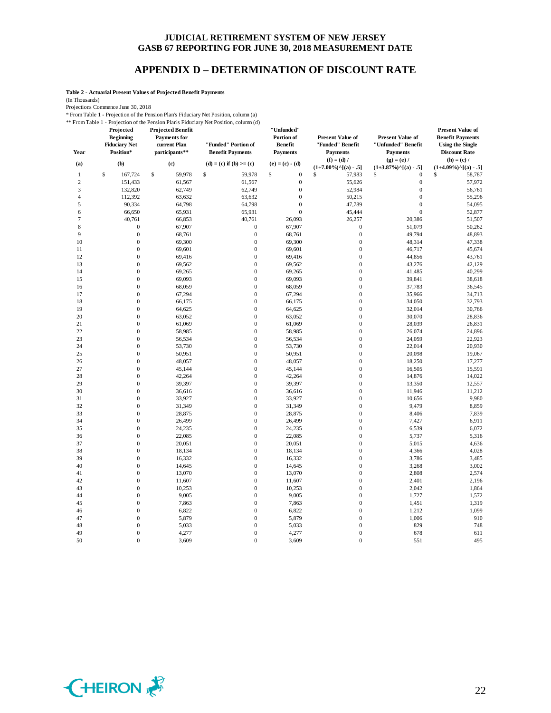## **APPENDIX D – DETERMINATION OF DISCOUNT RATE**

**Table 2 - Actuarial Present Values of Projected Benefit Payments**

(In Thousands)

Projections Commence June 30, 2018

\* From Table 1 - Projection of the Pension Plan's Fiduciary Net Position, column (a) \*\* From Table 1 - Projection of the Pension Plan's Fiduciary Net Position, column (d)

| Year           | Projected<br><b>Beginning</b><br><b>Fiduciary Net</b><br>Position* | <b>Projected Benefit</b><br><b>Payments</b> for<br>current Plan<br>participants** | "Funded" Portion of<br><b>Benefit Payments</b> | "Unfunded"<br>Portion of<br><b>Benefit</b><br><b>Payments</b> | <b>Present Value of</b><br>"Funded" Benefit<br><b>Payments</b><br>$(f) = (d) /$ | <b>Present Value of</b><br>"Unfunded" Benefit<br><b>Payments</b><br>$(g) = (e) /$ | <b>Present Value of</b><br><b>Benefit Payments</b><br><b>Using the Single</b><br><b>Discount Rate</b><br>$(h) = (c) /$ |
|----------------|--------------------------------------------------------------------|-----------------------------------------------------------------------------------|------------------------------------------------|---------------------------------------------------------------|---------------------------------------------------------------------------------|-----------------------------------------------------------------------------------|------------------------------------------------------------------------------------------------------------------------|
| (a)            | (b)                                                                | (c)                                                                               | $(d) = (c)$ if $(b) >= (c)$                    | $(e) = (c) - (d)$                                             | $(1+7.00\%)$ <sup>^</sup> [(a) - .5]                                            | $(1+3.87\%)$ <sup>^</sup> [(a) - .5]                                              | $(1+4.09\%)$ <sup>^</sup> [(a) - .5]                                                                                   |
| $\mathbf{1}$   | \$<br>167,724                                                      | \$<br>59,978                                                                      | \$<br>59,978                                   | \$<br>$\boldsymbol{0}$                                        | \$<br>57,983                                                                    | \$<br>$\mathbf{0}$                                                                | \$<br>58,787                                                                                                           |
| $\mathfrak{2}$ | 151,433                                                            | 61,567                                                                            | 61,567                                         | $\boldsymbol{0}$                                              | 55,626                                                                          | $\boldsymbol{0}$                                                                  | 57,972                                                                                                                 |
| 3              | 132,820                                                            | 62,749                                                                            | 62,749                                         | $\boldsymbol{0}$                                              | 52,984                                                                          | $\boldsymbol{0}$                                                                  | 56,761                                                                                                                 |
| $\overline{4}$ | 112,392                                                            | 63,632                                                                            | 63,632                                         | $\boldsymbol{0}$                                              | 50,215                                                                          | $\boldsymbol{0}$                                                                  | 55,296                                                                                                                 |
| 5              | 90,334                                                             | 64,798                                                                            | 64,798                                         | $\mathbf{0}$                                                  | 47,789                                                                          | $\mathbf{0}$                                                                      | 54,095                                                                                                                 |
| 6              | 66,650                                                             | 65,931                                                                            | 65,931                                         | $\mathbf{0}$                                                  | 45,444                                                                          | $\mathbf{0}$                                                                      | 52,877                                                                                                                 |
| 7              | 40,761                                                             | 66,853                                                                            | 40,761                                         | 26,093                                                        | 26,257                                                                          | 20,386                                                                            | 51,507                                                                                                                 |
| 8              | $\boldsymbol{0}$                                                   | 67,907                                                                            | $\boldsymbol{0}$                               | 67,907                                                        | $\boldsymbol{0}$                                                                | 51,079                                                                            | 50,262                                                                                                                 |
| $\mathbf{Q}$   | $\boldsymbol{0}$                                                   | 68,761                                                                            | $\boldsymbol{0}$                               | 68,761                                                        | $\mathbf{0}$                                                                    | 49,794                                                                            | 48,893                                                                                                                 |
| 10             | $\boldsymbol{0}$                                                   | 69,300                                                                            | $\boldsymbol{0}$                               | 69,300                                                        | $\boldsymbol{0}$                                                                | 48,314                                                                            | 47,338                                                                                                                 |
| 11             | $\mathbf{0}$                                                       | 69,601                                                                            | $\mathbf 0$                                    | 69,601                                                        | $\mathbf{0}$                                                                    | 46,717                                                                            | 45,674                                                                                                                 |
| 12             | $\mathbf{0}$                                                       | 69,416                                                                            | $\mathbf{0}$                                   | 69,416                                                        | $\mathbf{0}$                                                                    | 44,856                                                                            | 43,761                                                                                                                 |
| 13             | $\boldsymbol{0}$                                                   | 69,562                                                                            | $\mathbf{0}$                                   | 69,562                                                        | $\mathbf{0}$                                                                    | 43,276                                                                            | 42,129                                                                                                                 |
| 14             | $\mathbf{0}$                                                       | 69,265                                                                            | $\mathbf 0$                                    | 69,265                                                        | $\mathbf{0}$                                                                    | 41,485                                                                            | 40,299                                                                                                                 |
| 15             | $\mathbf{0}$                                                       | 69,093                                                                            | $\boldsymbol{0}$                               | 69,093                                                        | $\mathbf{0}$                                                                    | 39,841                                                                            | 38,618                                                                                                                 |
| 16             | $\mathbf{0}$                                                       | 68,059                                                                            | $\mathbf{0}$                                   | 68,059                                                        | $\overline{0}$                                                                  | 37,783                                                                            | 36,545                                                                                                                 |
| 17             | $\mathbf{0}$                                                       | 67,294                                                                            | $\boldsymbol{0}$                               | 67,294                                                        | $\mathbf{0}$                                                                    | 35,966                                                                            | 34,713                                                                                                                 |
| 18             | $\mathbf{0}$                                                       | 66,175                                                                            | $\boldsymbol{0}$                               | 66,175                                                        | $\mathbf{0}$                                                                    | 34,050                                                                            | 32,793                                                                                                                 |
| 19             | $\mathbf{0}$                                                       | 64,625                                                                            | $\boldsymbol{0}$                               | 64,625                                                        | $\mathbf{0}$                                                                    | 32,014                                                                            | 30,766                                                                                                                 |
| 20             | $\overline{0}$                                                     | 63,052                                                                            | $\mathbf{0}$                                   | 63,052                                                        | $\overline{0}$                                                                  | 30,070                                                                            | 28,836                                                                                                                 |
| 21             | $\boldsymbol{0}$                                                   | 61,069                                                                            | $\boldsymbol{0}$                               | 61,069                                                        | $\mathbf{0}$                                                                    | 28,039                                                                            | 26,831                                                                                                                 |
| 22             | $\mathbf{0}$                                                       | 58,985                                                                            | $\boldsymbol{0}$                               | 58,985                                                        | $\mathbf{0}$                                                                    | 26,074                                                                            | 24,896                                                                                                                 |
| 23             | $\overline{0}$                                                     | 56,534                                                                            | $\overline{0}$                                 | 56,534                                                        | $\overline{0}$                                                                  | 24,059                                                                            | 22,923                                                                                                                 |
| 24             | $\boldsymbol{0}$                                                   | 53,730                                                                            | $\mathbf{0}$                                   | 53,730                                                        | $\mathbf{0}$                                                                    | 22,014                                                                            | 20,930                                                                                                                 |
| 25             | $\mathbf{0}$                                                       | 50,951                                                                            | $\boldsymbol{0}$                               | 50,951                                                        | $\mathbf{0}$                                                                    | 20,098                                                                            | 19,067                                                                                                                 |
| 26             | $\mathbf{0}$                                                       | 48,057                                                                            | $\mathbf 0$                                    | 48,057                                                        | $\mathbf{0}$                                                                    | 18,250                                                                            | 17,277                                                                                                                 |
| 27             | $\mathbf{0}$                                                       | 45,144                                                                            | $\mathbf{0}$                                   | 45,144                                                        | $\mathbf{0}$                                                                    | 16,505                                                                            | 15,591                                                                                                                 |
| 28             | $\boldsymbol{0}$                                                   | 42,264                                                                            | $\mathbf{0}$                                   | 42,264                                                        | $\mathbf{0}$                                                                    | 14,876                                                                            | 14,022                                                                                                                 |
| 29             | $\mathbf{0}$                                                       | 39,397                                                                            | $\mathbf 0$                                    | 39,397                                                        | $\mathbf{0}$                                                                    | 13,350                                                                            | 12,557                                                                                                                 |
| 30             | $\boldsymbol{0}$                                                   | 36,616                                                                            | $\boldsymbol{0}$                               | 36,616                                                        | $\boldsymbol{0}$                                                                | 11,946                                                                            | 11,212                                                                                                                 |
| 31             | $\overline{0}$                                                     | 33,927                                                                            | $\mathbf{0}$                                   | 33,927                                                        | $\overline{0}$                                                                  | 10,656                                                                            | 9,980                                                                                                                  |
| 32             | $\overline{0}$                                                     | 31,349                                                                            | $\mathbf{0}$                                   | 31,349                                                        | $\mathbf{0}$                                                                    | 9,479                                                                             | 8,859                                                                                                                  |
| 33             | $\boldsymbol{0}$                                                   | 28,875                                                                            | $\boldsymbol{0}$                               | 28,875                                                        | $\mathbf{0}$                                                                    | 8,406                                                                             | 7,839                                                                                                                  |
| 34             | $\mathbf{0}$                                                       | 26,499                                                                            | $\boldsymbol{0}$                               | 26,499                                                        | $\mathbf{0}$                                                                    | 7,427                                                                             | 6,911                                                                                                                  |
| 35             | $\overline{0}$                                                     | 24,235                                                                            | $\mathbf{0}$                                   | 24,235                                                        | $\overline{0}$                                                                  | 6,539                                                                             | 6,072                                                                                                                  |
| 36             | $\boldsymbol{0}$                                                   | 22,085                                                                            | $\boldsymbol{0}$                               | 22,085                                                        | $\mathbf{0}$                                                                    | 5,737                                                                             | 5,316                                                                                                                  |
| 37             | $\mathbf{0}$                                                       | 20,051                                                                            | $\boldsymbol{0}$                               | 20,051                                                        | $\mathbf{0}$                                                                    | 5,015                                                                             | 4,636                                                                                                                  |
| 38             | $\overline{0}$                                                     | 18,134                                                                            | $\overline{0}$                                 | 18,134                                                        | $\overline{0}$                                                                  | 4,366                                                                             | 4,028                                                                                                                  |
| 39             | $\boldsymbol{0}$                                                   | 16,332                                                                            | $\boldsymbol{0}$                               | 16,332                                                        | $\mathbf{0}$                                                                    | 3,786                                                                             | 3,485                                                                                                                  |
| 40             | $\mathbf{0}$                                                       | 14,645                                                                            | $\mathbf 0$                                    | 14,645                                                        | $\mathbf{0}$                                                                    | 3,268                                                                             | 3,002                                                                                                                  |
| 41             | $\mathbf{0}$                                                       | 13,070                                                                            | $\boldsymbol{0}$                               | 13,070                                                        | $\mathbf{0}$                                                                    | 2,808                                                                             | 2,574                                                                                                                  |
| 42             | $\boldsymbol{0}$                                                   | 11,607                                                                            | $\mathbf{0}$                                   | 11,607                                                        | $\mathbf{0}$                                                                    | 2,401                                                                             | 2,196                                                                                                                  |
| 43             | $\mathbf{0}$                                                       | 10,253                                                                            | $\boldsymbol{0}$                               | 10,253                                                        | $\mathbf{0}$                                                                    | 2,042                                                                             | 1,864                                                                                                                  |
| 44             | $\mathbf{0}$                                                       | 9,005                                                                             | $\boldsymbol{0}$                               | 9,005                                                         | $\mathbf{0}$                                                                    | 1,727                                                                             | 1,572                                                                                                                  |
| 45             | $\boldsymbol{0}$                                                   | 7,863                                                                             | $\boldsymbol{0}$                               | 7,863                                                         | $\boldsymbol{0}$                                                                | 1,451                                                                             | 1,319                                                                                                                  |
| 46             | $\overline{0}$                                                     | 6,822                                                                             | $\mathbf{0}$                                   | 6,822                                                         | $\overline{0}$                                                                  | 1,212                                                                             | 1,099                                                                                                                  |
| 47             | $\boldsymbol{0}$                                                   | 5,879                                                                             | $\boldsymbol{0}$                               | 5,879                                                         | $\mathbf{0}$                                                                    | 1,006                                                                             | 910                                                                                                                    |
| 48             | $\mathbf{0}$                                                       | 5,033                                                                             | $\boldsymbol{0}$                               | 5,033                                                         | $\mathbf{0}$                                                                    | 829                                                                               | 748                                                                                                                    |
| 49             | $\overline{0}$                                                     | 4,277                                                                             | $\mathbf{0}$                                   | 4,277                                                         | $\overline{0}$                                                                  | 678                                                                               | 611                                                                                                                    |
| 50             | $\overline{0}$                                                     | 3,609                                                                             | $\mathbf{0}$                                   | 3,609                                                         | $\overline{0}$                                                                  | 551                                                                               | 495                                                                                                                    |
|                |                                                                    |                                                                                   |                                                |                                                               |                                                                                 |                                                                                   |                                                                                                                        |

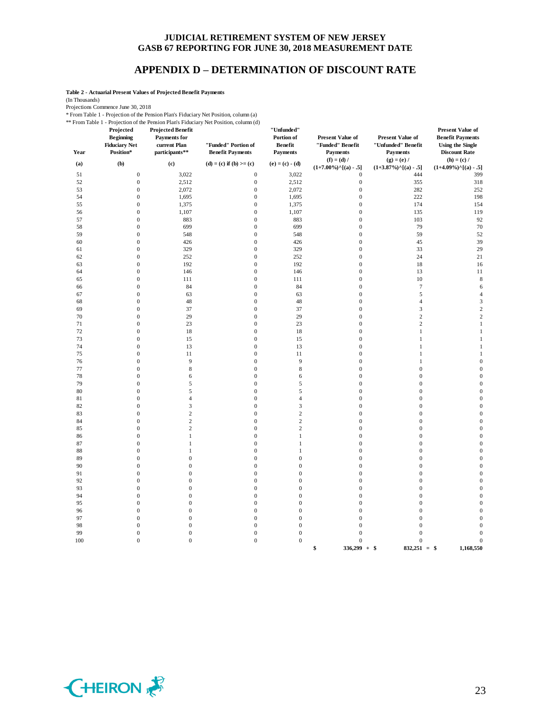### **APPENDIX D – DETERMINATION OF DISCOUNT RATE**

**Table 2 - Actuarial Present Values of Projected Benefit Payments**

(In Thousands)

Projections Commence June 30, 2018

\* From Table 1 - Projection of the Pension Plan's Fiduciary Net Position, column (a)

\*\* From Table 1 - Projection of the Pension Plan's Fiduciary Net Position, column (d)

| Year     | Projected<br><b>Beginning</b><br><b>Fiduciary Net</b><br>Position* | <b>Projected Benefit</b><br><b>Payments</b> for<br>current Plan<br>participants** | From Table 1 - Projection of the Pension Plan's Figuriary Net Position, column (d)<br>"Funded" Portion of<br><b>Benefit Payments</b> | "Unfunded"<br>Portion of<br><b>Benefit</b><br><b>Payments</b> | <b>Present Value of</b><br>"Funded" Benefit<br><b>Payments</b> | Present Value of<br>"Unfunded" Benefit<br>Payments    | <b>Present Value of</b><br><b>Benefit Payments</b><br><b>Using the Single</b><br><b>Discount Rate</b> |
|----------|--------------------------------------------------------------------|-----------------------------------------------------------------------------------|--------------------------------------------------------------------------------------------------------------------------------------|---------------------------------------------------------------|----------------------------------------------------------------|-------------------------------------------------------|-------------------------------------------------------------------------------------------------------|
| (a)      | (b)                                                                | (c)                                                                               | (d) = (c) if (b) >= (c)                                                                                                              | $(e) = (c) - (d)$                                             | $(f) = (d) /$<br>$(1+7.00\%)$ <sup>^</sup> [(a) - .5]          | $(g) = (e) /$<br>$(1+3.87\%)$ <sup>^</sup> [(a) - .5] | $(h) = (c) /$<br>$(1+4.09\%)$ <sup>^</sup> [(a) - .5]                                                 |
| 51       | $\boldsymbol{0}$                                                   | 3,022                                                                             | $\boldsymbol{0}$                                                                                                                     | 3,022                                                         | $\boldsymbol{0}$                                               | 444                                                   | 399                                                                                                   |
| 52       | $\boldsymbol{0}$                                                   | 2,512                                                                             | $\boldsymbol{0}$                                                                                                                     | 2,512                                                         | $\boldsymbol{0}$                                               | 355                                                   | 318                                                                                                   |
| 53       | $\boldsymbol{0}$                                                   | 2,072                                                                             | $\boldsymbol{0}$                                                                                                                     | 2,072                                                         | $\boldsymbol{0}$                                               | 282                                                   | 252                                                                                                   |
| 54       | $\boldsymbol{0}$                                                   | 1,695                                                                             | $\boldsymbol{0}$                                                                                                                     | 1,695                                                         | $\boldsymbol{0}$                                               | 222                                                   | 198                                                                                                   |
| 55       | $\boldsymbol{0}$                                                   | 1,375                                                                             | $\boldsymbol{0}$                                                                                                                     | 1,375                                                         | $\boldsymbol{0}$                                               | 174                                                   | 154                                                                                                   |
| 56       | $\mathbf{0}$                                                       | 1,107                                                                             | $\boldsymbol{0}$                                                                                                                     | 1,107                                                         | $\mathbf{0}$                                                   | 135                                                   | 119                                                                                                   |
| 57       | $\boldsymbol{0}$                                                   | 883                                                                               | $\boldsymbol{0}$                                                                                                                     | 883                                                           | $\boldsymbol{0}$                                               | 103                                                   | 92                                                                                                    |
| 58       | $\mathbf{0}$                                                       | 699                                                                               | $\boldsymbol{0}$                                                                                                                     | 699                                                           | $\mathbf{0}$                                                   | 79                                                    | 70                                                                                                    |
| 59       | $\boldsymbol{0}$                                                   | 548                                                                               | $\boldsymbol{0}$                                                                                                                     | 548                                                           | $\boldsymbol{0}$                                               | 59                                                    | 52                                                                                                    |
| 60       | $\boldsymbol{0}$                                                   | 426                                                                               | $\boldsymbol{0}$                                                                                                                     | 426                                                           | $\mathbf{0}$                                                   | 45                                                    | 39                                                                                                    |
| 61       | $\mathbf{0}$                                                       | 329                                                                               | $\boldsymbol{0}$                                                                                                                     | 329                                                           | $\mathbf{0}$                                                   | 33                                                    | 29                                                                                                    |
| 62       | $\overline{0}$                                                     | 252                                                                               | $\boldsymbol{0}$                                                                                                                     | 252                                                           | $\mathbf{0}$                                                   | 24                                                    | 21                                                                                                    |
| 63<br>64 | $\boldsymbol{0}$<br>$\boldsymbol{0}$                               | 192<br>146                                                                        | $\boldsymbol{0}$<br>$\boldsymbol{0}$                                                                                                 | 192<br>146                                                    | $\boldsymbol{0}$<br>$\mathbf{0}$                               | 18<br>13                                              | 16<br>11                                                                                              |
| 65       | $\boldsymbol{0}$                                                   | 111                                                                               | $\boldsymbol{0}$                                                                                                                     | 111                                                           | $\boldsymbol{0}$                                               | $10\,$                                                | $\,$ 8 $\,$                                                                                           |
| 66       | $\boldsymbol{0}$                                                   | 84                                                                                | $\boldsymbol{0}$                                                                                                                     | 84                                                            | $\mathbf{0}$                                                   | $\boldsymbol{7}$                                      | 6                                                                                                     |
| 67       | $\boldsymbol{0}$                                                   | 63                                                                                | $\boldsymbol{0}$                                                                                                                     | 63                                                            | $\mathbf{0}$                                                   | $\mathfrak s$                                         | $\overline{4}$                                                                                        |
| 68       | $\overline{0}$                                                     | 48                                                                                | $\boldsymbol{0}$                                                                                                                     | 48                                                            | $\overline{0}$                                                 | $\overline{4}$                                        | 3                                                                                                     |
| 69       | $\boldsymbol{0}$                                                   | 37                                                                                | $\boldsymbol{0}$                                                                                                                     | 37                                                            | $\boldsymbol{0}$                                               | $\mathfrak{Z}$                                        | $\overline{\mathbf{c}}$                                                                               |
| 70       | $\boldsymbol{0}$                                                   | 29                                                                                | $\boldsymbol{0}$                                                                                                                     | 29                                                            | $\mathbf{0}$                                                   | $\sqrt{2}$                                            | $\sqrt{2}$                                                                                            |
| 71       | $\mathbf{0}$                                                       | 23                                                                                | $\boldsymbol{0}$                                                                                                                     | 23                                                            | $\overline{0}$                                                 | $\,2$                                                 | $\,1$                                                                                                 |
| 72       | $\mathbf{0}$                                                       | 18                                                                                | $\boldsymbol{0}$                                                                                                                     | 18                                                            | $\mathbf{0}$                                                   | $\mathbf{1}$                                          | $\mathbf{1}$                                                                                          |
| 73       | $\overline{0}$                                                     | 15                                                                                | $\boldsymbol{0}$                                                                                                                     | 15                                                            | $\overline{0}$                                                 | $\mathbf{1}$                                          | $\mathbf{1}$                                                                                          |
| 74       | $\boldsymbol{0}$                                                   | 13                                                                                | $\boldsymbol{0}$                                                                                                                     | 13                                                            | $\boldsymbol{0}$                                               | $\mathbf{1}$                                          | $\mathbf{1}$                                                                                          |
| 75       | $\boldsymbol{0}$                                                   | 11                                                                                | $\boldsymbol{0}$                                                                                                                     | $11\,$                                                        | $\boldsymbol{0}$                                               | $\mathbf{1}$                                          | $\mathbf{1}$                                                                                          |
| 76       | $\boldsymbol{0}$                                                   | 9                                                                                 | $\boldsymbol{0}$                                                                                                                     | 9                                                             | $\mathbf{0}$                                                   | $\mathbf{1}$                                          | $\mathbf{0}$                                                                                          |
| 77       | $\boldsymbol{0}$                                                   | $\,$ 8 $\,$                                                                       | $\boldsymbol{0}$                                                                                                                     | $\,$ 8 $\,$                                                   | $\boldsymbol{0}$                                               | $\boldsymbol{0}$                                      | $\boldsymbol{0}$                                                                                      |
| 78       | $\overline{0}$                                                     | 6                                                                                 | $\boldsymbol{0}$                                                                                                                     | 6                                                             | $\overline{0}$                                                 | $\boldsymbol{0}$                                      | $\mathbf{0}$                                                                                          |
| 79       | $\boldsymbol{0}$                                                   | 5                                                                                 | $\boldsymbol{0}$                                                                                                                     | 5                                                             | $\boldsymbol{0}$                                               | $\boldsymbol{0}$                                      | $\boldsymbol{0}$                                                                                      |
| $80\,$   | $\boldsymbol{0}$                                                   | 5                                                                                 | $\boldsymbol{0}$                                                                                                                     | 5                                                             | $\boldsymbol{0}$                                               | $\boldsymbol{0}$                                      | $\boldsymbol{0}$                                                                                      |
| 81       | $\mathbf{0}$                                                       | $\overline{4}$                                                                    | $\boldsymbol{0}$                                                                                                                     | $\overline{4}$                                                | $\mathbf{0}$                                                   | $\boldsymbol{0}$                                      | $\mathbf{0}$                                                                                          |
| 82       | $\boldsymbol{0}$                                                   | 3                                                                                 | $\boldsymbol{0}$                                                                                                                     | $\sqrt{3}$                                                    | $\mathbf{0}$                                                   | $\boldsymbol{0}$                                      | $\boldsymbol{0}$                                                                                      |
| 83       | $\mathbf{0}$                                                       | $\overline{c}$<br>$\overline{c}$                                                  | $\boldsymbol{0}$                                                                                                                     | $\sqrt{2}$                                                    | $\mathbf{0}$                                                   | $\boldsymbol{0}$                                      | $\boldsymbol{0}$                                                                                      |
| 84       | $\mathbf{0}$<br>$\mathbf{0}$                                       | $\sqrt{2}$                                                                        | $\mathbf{0}$                                                                                                                         | $\sqrt{2}$<br>$\sqrt{2}$                                      | $\mathbf{0}$                                                   | $\boldsymbol{0}$                                      | $\mathbf{0}$<br>$\boldsymbol{0}$                                                                      |
| 85<br>86 | $\mathbf{0}$                                                       | $\mathbf{1}$                                                                      | $\boldsymbol{0}$<br>$\boldsymbol{0}$                                                                                                 | $\mathbf{1}$                                                  | $\boldsymbol{0}$<br>$\mathbf{0}$                               | $\boldsymbol{0}$<br>$\boldsymbol{0}$                  | $\boldsymbol{0}$                                                                                      |
| 87       | $\mathbf{0}$                                                       | $\mathbf{1}$                                                                      | $\boldsymbol{0}$                                                                                                                     | $\,1$                                                         | $\mathbf{0}$                                                   | $\boldsymbol{0}$                                      | $\boldsymbol{0}$                                                                                      |
| 88       | $\mathbf{0}$                                                       | $\mathbf{1}$                                                                      | $\boldsymbol{0}$                                                                                                                     | $\mathbf{1}$                                                  | $\mathbf{0}$                                                   | $\boldsymbol{0}$                                      | $\boldsymbol{0}$                                                                                      |
| 89       | $\overline{0}$                                                     | $\overline{0}$                                                                    | $\mathbf{0}$                                                                                                                         | $\boldsymbol{0}$                                              | $\overline{0}$                                                 | $\boldsymbol{0}$                                      | $\mathbf{0}$                                                                                          |
| 90       | $\boldsymbol{0}$                                                   | $\mathbf{0}$                                                                      | $\boldsymbol{0}$                                                                                                                     | $\boldsymbol{0}$                                              | $\boldsymbol{0}$                                               | $\boldsymbol{0}$                                      | $\boldsymbol{0}$                                                                                      |
| 91       | $\mathbf{0}$                                                       | $\mathbf{0}$                                                                      | $\boldsymbol{0}$                                                                                                                     | $\boldsymbol{0}$                                              | $\mathbf{0}$                                                   | $\boldsymbol{0}$                                      | $\mathbf{0}$                                                                                          |
| 92       | $\boldsymbol{0}$                                                   | $\boldsymbol{0}$                                                                  | $\boldsymbol{0}$                                                                                                                     | $\boldsymbol{0}$                                              | $\boldsymbol{0}$                                               | $\boldsymbol{0}$                                      | $\boldsymbol{0}$                                                                                      |
| 93       | $\mathbf{0}$                                                       | $\mathbf{0}$                                                                      | $\boldsymbol{0}$                                                                                                                     | $\boldsymbol{0}$                                              | $\mathbf{0}$                                                   | $\boldsymbol{0}$                                      | $\boldsymbol{0}$                                                                                      |
| 94       | $\boldsymbol{0}$                                                   | $\mathbf{0}$                                                                      | $\boldsymbol{0}$                                                                                                                     | $\boldsymbol{0}$                                              | $\mathbf{0}$                                                   | $\boldsymbol{0}$                                      | $\mathbf{0}$                                                                                          |
| 95       | $\mathbf{0}$                                                       | $\mathbf{0}$                                                                      | $\boldsymbol{0}$                                                                                                                     | $\boldsymbol{0}$                                              | $\boldsymbol{0}$                                               | $\boldsymbol{0}$                                      | $\boldsymbol{0}$                                                                                      |
| 96       | $\mathbf{0}$                                                       | $\mathbf{0}$                                                                      | $\boldsymbol{0}$                                                                                                                     | $\boldsymbol{0}$                                              | $\mathbf{0}$                                                   | $\boldsymbol{0}$                                      | $\boldsymbol{0}$                                                                                      |
| 97       | $\boldsymbol{0}$                                                   | $\boldsymbol{0}$                                                                  | $\boldsymbol{0}$                                                                                                                     | $\boldsymbol{0}$                                              | $\boldsymbol{0}$                                               | $\boldsymbol{0}$                                      | $\boldsymbol{0}$                                                                                      |
| 98       | $\boldsymbol{0}$                                                   | $\boldsymbol{0}$                                                                  | $\boldsymbol{0}$                                                                                                                     | $\boldsymbol{0}$                                              | $\mathbf{0}$                                                   | $\boldsymbol{0}$                                      | $\boldsymbol{0}$                                                                                      |
| 99       | $\boldsymbol{0}$                                                   | $\boldsymbol{0}$                                                                  | $\boldsymbol{0}$                                                                                                                     | $\boldsymbol{0}$                                              | $\boldsymbol{0}$                                               | $\boldsymbol{0}$                                      | $\mathbf{0}$                                                                                          |
| 100      | $\boldsymbol{0}$                                                   | $\boldsymbol{0}$                                                                  | $\boldsymbol{0}$                                                                                                                     | $\boldsymbol{0}$                                              | $\boldsymbol{0}$<br>\$<br>$336,299 + $$                        | $\boldsymbol{0}$<br>$832,251 =$ \$                    | $\boldsymbol{0}$<br>1,168,550                                                                         |

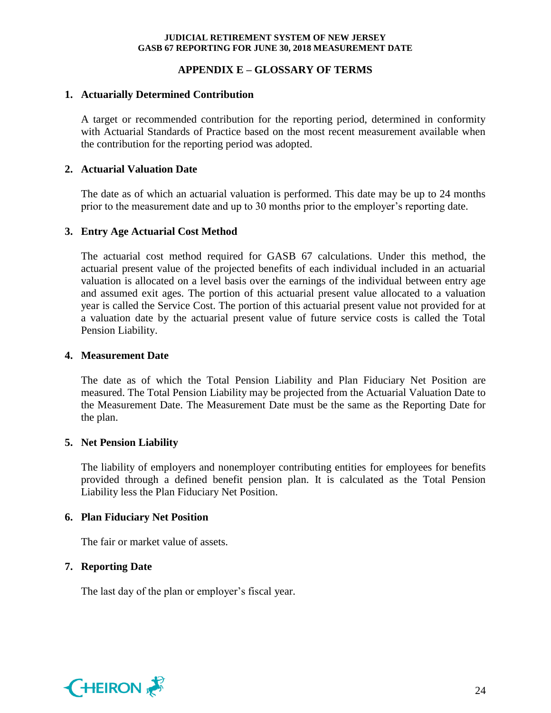## **APPENDIX E – GLOSSARY OF TERMS**

## **1. Actuarially Determined Contribution**

A target or recommended contribution for the reporting period, determined in conformity with Actuarial Standards of Practice based on the most recent measurement available when the contribution for the reporting period was adopted.

## **2. Actuarial Valuation Date**

The date as of which an actuarial valuation is performed. This date may be up to 24 months prior to the measurement date and up to 30 months prior to the employer's reporting date.

## **3. Entry Age Actuarial Cost Method**

The actuarial cost method required for GASB 67 calculations. Under this method, the actuarial present value of the projected benefits of each individual included in an actuarial valuation is allocated on a level basis over the earnings of the individual between entry age and assumed exit ages. The portion of this actuarial present value allocated to a valuation year is called the Service Cost. The portion of this actuarial present value not provided for at a valuation date by the actuarial present value of future service costs is called the Total Pension Liability.

### **4. Measurement Date**

The date as of which the Total Pension Liability and Plan Fiduciary Net Position are measured. The Total Pension Liability may be projected from the Actuarial Valuation Date to the Measurement Date. The Measurement Date must be the same as the Reporting Date for the plan.

## **5. Net Pension Liability**

The liability of employers and nonemployer contributing entities for employees for benefits provided through a defined benefit pension plan. It is calculated as the Total Pension Liability less the Plan Fiduciary Net Position.

## **6. Plan Fiduciary Net Position**

The fair or market value of assets.

## **7. Reporting Date**

The last day of the plan or employer's fiscal year.